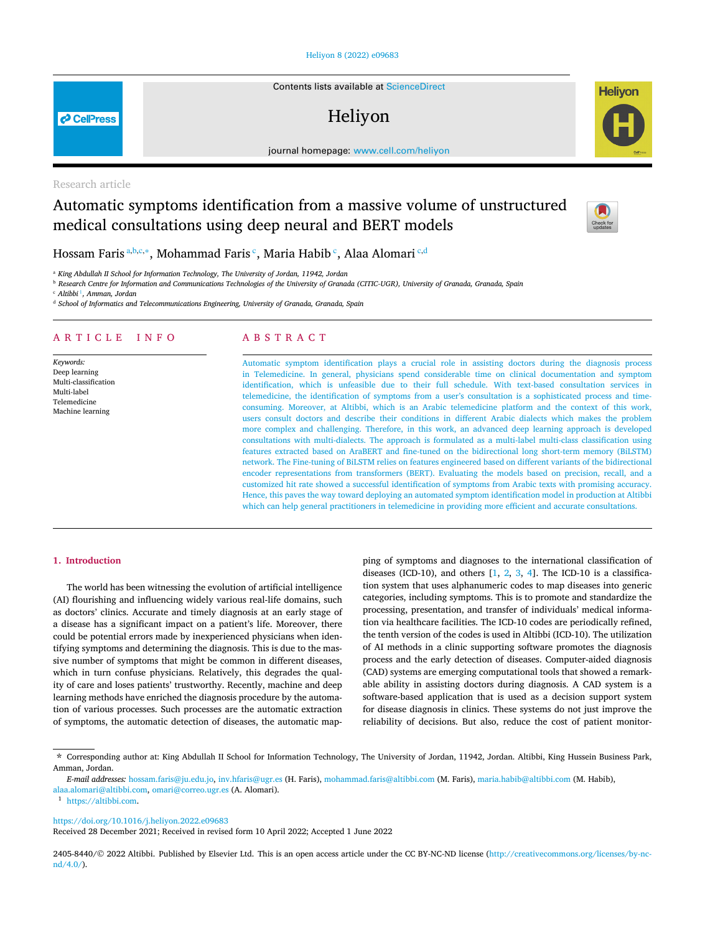# [Heliyon 8 \(2022\) e09683](https://doi.org/10.1016/j.heliyon.2022.e09683)

Contents lists available at [ScienceDirect](http://www.ScienceDirect.com/)

# Heliyon

journal homepage: [www.cell.com/heliyon](http://www.cell.com/heliyon)

Research article

**P** CellPress

# Automatic symptoms identification from a massive volume of unstructured medical consultations using deep neural and BERT models



**Helivon** 

Hossam Faris <sup>a</sup>*,*b*,*c*,*<sup>∗</sup>, Mohammad Faris <sup>c</sup>, Maria Habib <sup>c</sup>, Alaa Alomari <sup>c</sup>*,*<sup>d</sup>

<sup>a</sup> *King Abdullah II School for Information Technology, The University of Jordan, 11942, Jordan*

<sup>b</sup> Research Centre for Information and Communications Technologies of the University of Granada (CITIC-UGR), University of Granada, Granada, Spain

<sup>c</sup> *Altibbi* <sup>1</sup>*, Amman, Jordan*

<sup>d</sup> *School of Informatics and Telecommunications Engineering, University of Granada, Granada, Spain*

# A R T I C L E I N F O A B S T R A C T

*Keywords:* Deep learning Multi-classification Multi-label Telemedicine Machine learning

Automatic symptom identification plays a crucial role in assisting doctors during the diagnosis process in Telemedicine. In general, physicians spend considerable time on clinical documentation and symptom identification, which is unfeasible due to their full schedule. With text-based consultation services in telemedicine, the identification of symptoms from a user's consultation is a sophisticated process and timeconsuming. Moreover, at Altibbi, which is an Arabic telemedicine platform and the context of this work, users consult doctors and describe their conditions in different Arabic dialects which makes the problem more complex and challenging. Therefore, in this work, an advanced deep learning approach is developed consultations with multi-dialects. The approach is formulated as a multi-label multi-class classification using features extracted based on AraBERT and fine-tuned on the bidirectional long short-term memory (BiLSTM) network. The Fine-tuning of BiLSTM relies on features engineered based on different variants of the bidirectional encoder representations from transformers (BERT). Evaluating the models based on precision, recall, and a customized hit rate showed a successful identification of symptoms from Arabic texts with promising accuracy. Hence, this paves the way toward deploying an automated symptom identification model in production at Altibbi which can help general practitioners in telemedicine in providing more efficient and accurate consultations.

# **1. Introduction**

The world has been witnessing the evolution of artificial intelligence (AI) flourishing and influencing widely various real-life domains, such as doctors' clinics. Accurate and timely diagnosis at an early stage of a disease has a significant impact on a patient's life. Moreover, there could be potential errors made by inexperienced physicians when identifying symptoms and determining the diagnosis. This is due to the massive number of symptoms that might be common in different diseases, which in turn confuse physicians. Relatively, this degrades the quality of care and loses patients' trustworthy. Recently, machine and deep learning methods have enriched the diagnosis procedure by the automation of various processes. Such processes are the automatic extraction of symptoms, the automatic detection of diseases, the automatic map-

ping of symptoms and diagnoses to the international classification of diseases (ICD-10), and others  $[1, 2, 3, 4]$  $[1, 2, 3, 4]$  $[1, 2, 3, 4]$  $[1, 2, 3, 4]$  $[1, 2, 3, 4]$  $[1, 2, 3, 4]$  $[1, 2, 3, 4]$ . The ICD-10 is a classification system that uses alphanumeric codes to map diseases into generic categories, including symptoms. This is to promote and standardize the processing, presentation, and transfer of individuals' medical information via healthcare facilities. The ICD-10 codes are periodically refined, the tenth version of the codes is used in Altibbi (ICD-10). The utilization of AI methods in a clinic supporting software promotes the diagnosis process and the early detection of diseases. Computer-aided diagnosis (CAD) systems are emerging computational tools that showed a remarkable ability in assisting doctors during diagnosis. A CAD system is a software-based application that is used as a decision support system for disease diagnosis in clinics. These systems do not just improve the reliability of decisions. But also, reduce the cost of patient monitor-

<https://doi.org/10.1016/j.heliyon.2022.e09683>

Received 28 December 2021; Received in revised form 10 April 2022; Accepted 1 June 2022

2405-8440/© 2022 Altibbi. Published by Elsevier Ltd. This is an open access article under the CC BY-NC-ND license [\(http://creativecommons.org/licenses/by-nc](http://creativecommons.org/licenses/by-nc-nd/4.0/) $nd/4.0/$ ).

<sup>\*</sup> Corresponding author at: King Abdullah II School for Information Technology, The University of Jordan, 11942, Jordan. Altibbi, King Hussein Business Park, Amman, Jordan.

*E-mail addresses:* [hossam.faris@ju.edu.jo,](mailto:hossam.faris@ju.edu.jo) [inv.hfaris@ugr.es](mailto:inv.hfaris@ugr.es) (H. Faris), [mohammad.faris@altibbi.com](mailto:mohammad.faris@altibbi.com) (M. Faris), [maria.habib@altibbi.com](mailto:maria.habib@altibbi.com) (M. Habib), [alaa.alomari@altibbi.com,](mailto:alaa.alomari@altibbi.com) [omari@correo.ugr.es](mailto:omari@correo.ugr.es) (A. Alomari).

<sup>1</sup> <https://altibbi.com>.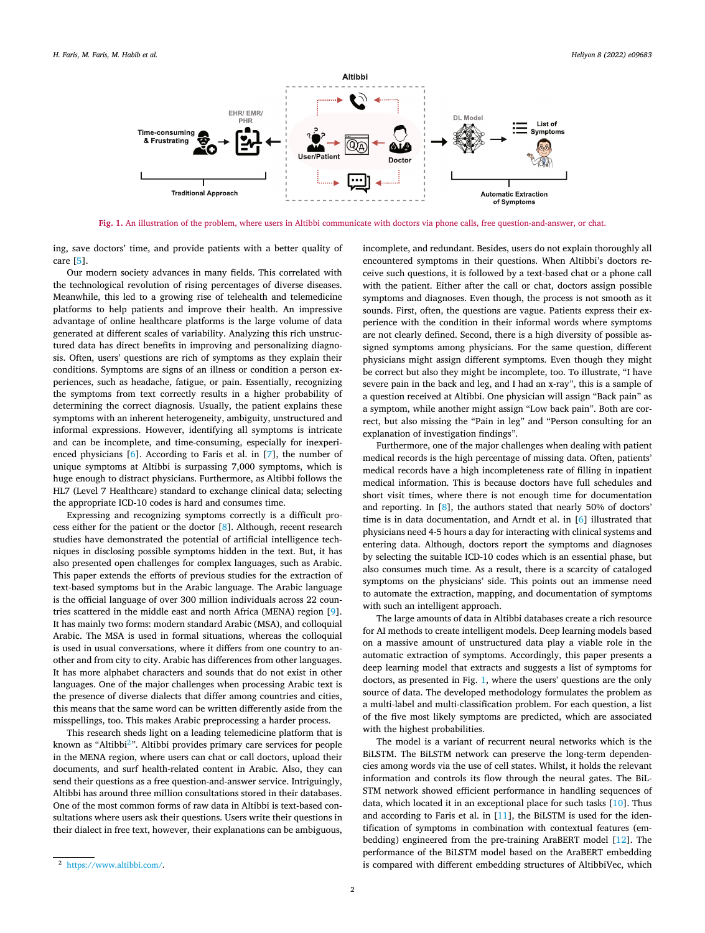

**Fig. 1.** An illustration of the problem, where users in Altibbi communicate with doctors via phone calls, free question-and-answer, or chat.

ing, save doctors' time, and provide patients with a better quality of care [\[5\]](#page-10-0).

Our modern society advances in many fields. This correlated with the technological revolution of rising percentages of diverse diseases. Meanwhile, this led to a growing rise of telehealth and telemedicine platforms to help patients and improve their health. An impressive advantage of online healthcare platforms is the large volume of data generated at different scales of variability. Analyzing this rich unstructured data has direct benefits in improving and personalizing diagnosis. Often, users' questions are rich of symptoms as they explain their conditions. Symptoms are signs of an illness or condition a person experiences, such as headache, fatigue, or pain. Essentially, recognizing the symptoms from text correctly results in a higher probability of determining the correct diagnosis. Usually, the patient explains these symptoms with an inherent heterogeneity, ambiguity, unstructured and informal expressions. However, identifying all symptoms is intricate and can be incomplete, and time-consuming, especially for inexperienced physicians [[6](#page-10-0)]. According to Faris et al. in [\[7\]](#page-10-0), the number of unique symptoms at Altibbi is surpassing 7,000 symptoms, which is huge enough to distract physicians. Furthermore, as Altibbi follows the HL7 (Level 7 Healthcare) standard to exchange clinical data; selecting the appropriate ICD-10 codes is hard and consumes time.

Expressing and recognizing symptoms correctly is a difficult process either for the patient or the doctor [\[8\]](#page-10-0). Although, recent research studies have demonstrated the potential of artificial intelligence techniques in disclosing possible symptoms hidden in the text. But, it has also presented open challenges for complex languages, such as Arabic. This paper extends the efforts of previous studies for the extraction of text-based symptoms but in the Arabic language. The Arabic language is the official language of over 300 million individuals across 22 countries scattered in the middle east and north Africa (MENA) region [\[9](#page-10-0)]. It has mainly two forms: modern standard Arabic (MSA), and colloquial Arabic. The MSA is used in formal situations, whereas the colloquial is used in usual conversations, where it differs from one country to another and from city to city. Arabic has differences from other languages. It has more alphabet characters and sounds that do not exist in other languages. One of the major challenges when processing Arabic text is the presence of diverse dialects that differ among countries and cities, this means that the same word can be written differently aside from the misspellings, too. This makes Arabic preprocessing a harder process.

This research sheds light on a leading telemedicine platform that is known as "Altibbi<sup>2</sup>". Altibbi provides primary care services for people in the MENA region, where users can chat or call doctors, upload their documents, and surf health-related content in Arabic. Also, they can send their questions as a free question-and-answer service. Intriguingly, Altibbi has around three million consultations stored in their databases. One of the most common forms of raw data in Altibbi is text-based consultations where users ask their questions. Users write their questions in their dialect in free text, however, their explanations can be ambiguous,

incomplete, and redundant. Besides, users do not explain thoroughly all encountered symptoms in their questions. When Altibbi's doctors receive such questions, it is followed by a text-based chat or a phone call with the patient. Either after the call or chat, doctors assign possible symptoms and diagnoses. Even though, the process is not smooth as it sounds. First, often, the questions are vague. Patients express their experience with the condition in their informal words where symptoms are not clearly defined. Second, there is a high diversity of possible assigned symptoms among physicians. For the same question, different physicians might assign different symptoms. Even though they might be correct but also they might be incomplete, too. To illustrate, "I have severe pain in the back and leg, and I had an x-ray", this is a sample of a question received at Altibbi. One physician will assign "Back pain" as a symptom, while another might assign "Low back pain". Both are correct, but also missing the "Pain in leg" and "Person consulting for an explanation of investigation findings".

Furthermore, one of the major challenges when dealing with patient medical records is the high percentage of missing data. Often, patients' medical records have a high incompleteness rate of filling in inpatient medical information. This is because doctors have full schedules and short visit times, where there is not enough time for documentation and reporting. In [\[8\]](#page-10-0), the authors stated that nearly 50% of doctors' time is in data documentation, and Arndt et al. in [\[6\]](#page-10-0) illustrated that physicians need 4-5 hours a day for interacting with clinical systems and entering data. Although, doctors report the symptoms and diagnoses by selecting the suitable ICD-10 codes which is an essential phase, but also consumes much time. As a result, there is a scarcity of cataloged symptoms on the physicians' side. This points out an immense need to automate the extraction, mapping, and documentation of symptoms with such an intelligent approach.

The large amounts of data in Altibbi databases create a rich resource for AI methods to create intelligent models. Deep learning models based on a massive amount of unstructured data play a viable role in the automatic extraction of symptoms. Accordingly, this paper presents a deep learning model that extracts and suggests a list of symptoms for doctors, as presented in Fig. 1, where the users' questions are the only source of data. The developed methodology formulates the problem as a multi-label and multi-classification problem. For each question, a list of the five most likely symptoms are predicted, which are associated with the highest probabilities.

The model is a variant of recurrent neural networks which is the BiLSTM. The BiLSTM network can preserve the long-term dependencies among words via the use of cell states. Whilst, it holds the relevant information and controls its flow through the neural gates. The BiL-STM network showed efficient performance in handling sequences of data, which located it in an exceptional place for such tasks [[10\]](#page-10-0). Thus and according to Faris et al. in [[11\]](#page-10-0), the BiLSTM is used for the identification of symptoms in combination with contextual features (embedding) engineered from the pre-training AraBERT model [\[12\]](#page-10-0). The performance of the BiLSTM model based on the AraBERT embedding is compared with different embedding structures of AltibbiVec, which

<sup>2</sup> [https://www.altibbi.com/.](https://www.altibbi.com/)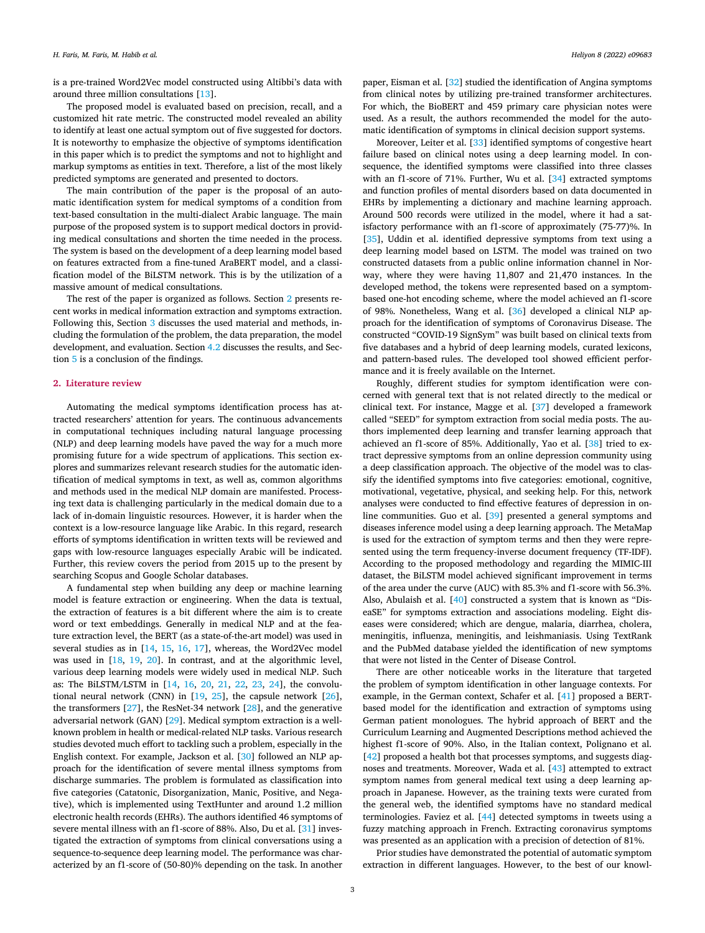is a pre-trained Word2Vec model constructed using Altibbi's data with around three million consultations [\[13](#page-10-0)].

The proposed model is evaluated based on precision, recall, and a customized hit rate metric. The constructed model revealed an ability to identify at least one actual symptom out of five suggested for doctors. It is noteworthy to emphasize the objective of symptoms identification in this paper which is to predict the symptoms and not to highlight and markup symptoms as entities in text. Therefore, a list of the most likely predicted symptoms are generated and presented to doctors.

The main contribution of the paper is the proposal of an automatic identification system for medical symptoms of a condition from text-based consultation in the multi-dialect Arabic language. The main purpose of the proposed system is to support medical doctors in providing medical consultations and shorten the time needed in the process. The system is based on the development of a deep learning model based on features extracted from a fine-tuned AraBERT model, and a classification model of the BiLSTM network. This is by the utilization of a massive amount of medical consultations.

The rest of the paper is organized as follows. Section 2 presents recent works in medical information extraction and symptoms extraction. Following this, Section [3](#page-3-0) discusses the used material and methods, including the formulation of the problem, the data preparation, the model development, and evaluation. Section [4.2](#page-7-0) discusses the results, and Section [5](#page-9-0) is a conclusion of the findings.

# **2. Literature review**

Automating the medical symptoms identification process has attracted researchers' attention for years. The continuous advancements in computational techniques including natural language processing (NLP) and deep learning models have paved the way for a much more promising future for a wide spectrum of applications. This section explores and summarizes relevant research studies for the automatic identification of medical symptoms in text, as well as, common algorithms and methods used in the medical NLP domain are manifested. Processing text data is challenging particularly in the medical domain due to a lack of in-domain linguistic resources. However, it is harder when the context is a low-resource language like Arabic. In this regard, research efforts of symptoms identification in written texts will be reviewed and gaps with low-resource languages especially Arabic will be indicated. Further, this review covers the period from 2015 up to the present by searching Scopus and Google Scholar databases.

A fundamental step when building any deep or machine learning model is feature extraction or engineering. When the data is textual, the extraction of features is a bit different where the aim is to create word or text embeddings. Generally in medical NLP and at the feature extraction level, the BERT (as a state-of-the-art model) was used in several studies as in [\[14](#page-10-0), [15](#page-10-0), [16,](#page-10-0) [17](#page-10-0)], whereas, the Word2Vec model was used in [\[18,](#page-10-0) [19,](#page-10-0) [20](#page-10-0)]. In contrast, and at the algorithmic level, various deep learning models were widely used in medical NLP. Such as: The BiLSTM/LSTM in [\[14](#page-10-0), [16](#page-10-0), [20,](#page-10-0) [21,](#page-10-0) [22,](#page-10-0) [23](#page-10-0), [24](#page-10-0)], the convolutional neural network (CNN) in [\[19](#page-10-0), [25](#page-10-0)], the capsule network [\[26](#page-10-0)], the transformers [[27\]](#page-10-0), the ResNet-34 network [[28\]](#page-10-0), and the generative adversarial network (GAN) [\[29](#page-10-0)]. Medical symptom extraction is a wellknown problem in health or medical-related NLP tasks. Various research studies devoted much effort to tackling such a problem, especially in the English context. For example, Jackson et al. [[30\]](#page-10-0) followed an NLP approach for the identification of severe mental illness symptoms from discharge summaries. The problem is formulated as classification into five categories (Catatonic, Disorganization, Manic, Positive, and Negative), which is implemented using TextHunter and around 1.2 million electronic health records (EHRs). The authors identified 46 symptoms of severe mental illness with an f1-score of 88%. Also, Du et al. [[31\]](#page-10-0) investigated the extraction of symptoms from clinical conversations using a sequence-to-sequence deep learning model. The performance was characterized by an f1-score of (50-80)% depending on the task. In another paper, Eisman et al. [\[32](#page-10-0)] studied the identification of Angina symptoms from clinical notes by utilizing pre-trained transformer architectures. For which, the BioBERT and 459 primary care physician notes were used. As a result, the authors recommended the model for the automatic identification of symptoms in clinical decision support systems.

Moreover, Leiter et al. [\[33](#page-10-0)] identified symptoms of congestive heart failure based on clinical notes using a deep learning model. In consequence, the identified symptoms were classified into three classes with an f1-score of 71%. Further, Wu et al. [\[34\]](#page-10-0) extracted symptoms and function profiles of mental disorders based on data documented in EHRs by implementing a dictionary and machine learning approach. Around 500 records were utilized in the model, where it had a satisfactory performance with an f1-score of approximately (75-77)%. In [\[35\]](#page-10-0), Uddin et al. identified depressive symptoms from text using a deep learning model based on LSTM. The model was trained on two constructed datasets from a public online information channel in Norway, where they were having 11,807 and 21,470 instances. In the developed method, the tokens were represented based on a symptombased one-hot encoding scheme, where the model achieved an f1-score of 98%. Nonetheless, Wang et al. [\[36](#page-10-0)] developed a clinical NLP approach for the identification of symptoms of Coronavirus Disease. The constructed "COVID-19 SignSym" was built based on clinical texts from five databases and a hybrid of deep learning models, curated lexicons, and pattern-based rules. The developed tool showed efficient performance and it is freely available on the Internet.

Roughly, different studies for symptom identification were concerned with general text that is not related directly to the medical or clinical text. For instance, Magge et al. [[37\]](#page-10-0) developed a framework called "SEED" for symptom extraction from social media posts. The authors implemented deep learning and transfer learning approach that achieved an f1-score of 85%. Additionally, Yao et al. [[38\]](#page-10-0) tried to extract depressive symptoms from an online depression community using a deep classification approach. The objective of the model was to classify the identified symptoms into five categories: emotional, cognitive, motivational, vegetative, physical, and seeking help. For this, network analyses were conducted to find effective features of depression in online communities. Guo et al. [\[39](#page-10-0)] presented a general symptoms and diseases inference model using a deep learning approach. The MetaMap is used for the extraction of symptom terms and then they were represented using the term frequency-inverse document frequency (TF-IDF). According to the proposed methodology and regarding the MIMIC-III dataset, the BiLSTM model achieved significant improvement in terms of the area under the curve (AUC) with 85.3% and f1-score with 56.3%. Also, Abulaish et al. [\[40](#page-10-0)] constructed a system that is known as "DiseaSE" for symptoms extraction and associations modeling. Eight diseases were considered; which are dengue, malaria, diarrhea, cholera, meningitis, influenza, meningitis, and leishmaniasis. Using TextRank and the PubMed database yielded the identification of new symptoms that were not listed in the Center of Disease Control.

There are other noticeable works in the literature that targeted the problem of symptom identification in other language contexts. For example, in the German context, Schafer et al. [[41\]](#page-10-0) proposed a BERTbased model for the identification and extraction of symptoms using German patient monologues. The hybrid approach of BERT and the Curriculum Learning and Augmented Descriptions method achieved the highest f1-score of 90%. Also, in the Italian context, Polignano et al. [\[42\]](#page-10-0) proposed a health bot that processes symptoms, and suggests diagnoses and treatments. Moreover, Wada et al. [[43\]](#page-10-0) attempted to extract symptom names from general medical text using a deep learning approach in Japanese. However, as the training texts were curated from the general web, the identified symptoms have no standard medical terminologies. Faviez et al. [[44\]](#page-10-0) detected symptoms in tweets using a fuzzy matching approach in French. Extracting coronavirus symptoms was presented as an application with a precision of detection of 81%.

Prior studies have demonstrated the potential of automatic symptom extraction in different languages. However, to the best of our knowl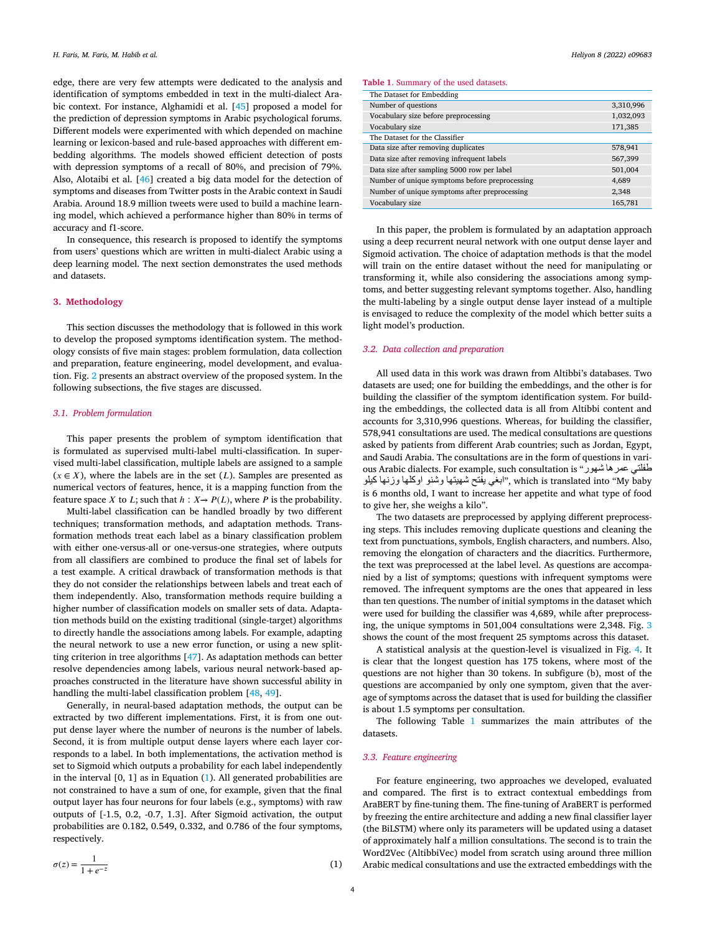<span id="page-3-0"></span>edge, there are very few attempts were dedicated to the analysis and identification of symptoms embedded in text in the multi-dialect Arabic context. For instance, Alghamidi et al. [[45\]](#page-10-0) proposed a model for the prediction of depression symptoms in Arabic psychological forums. Different models were experimented with which depended on machine learning or lexicon-based and rule-based approaches with different embedding algorithms. The models showed efficient detection of posts with depression symptoms of a recall of 80%, and precision of 79%. Also, Alotaibi et al. [[46\]](#page-10-0) created a big data model for the detection of symptoms and diseases from Twitter posts in the Arabic context in Saudi Arabia. Around 18.9 million tweets were used to build a machine learning model, which achieved a performance higher than 80% in terms of accuracy and f1-score.

In consequence, this research is proposed to identify the symptoms from users' questions which are written in multi-dialect Arabic using a deep learning model. The next section demonstrates the used methods and datasets.

# **3. Methodology**

This section discusses the methodology that is followed in this work to develop the proposed symptoms identification system. The methodology consists of five main stages: problem formulation, data collection and preparation, feature engineering, model development, and evaluation. Fig. [2](#page-4-0) presents an abstract overview of the proposed system. In the following subsections, the five stages are discussed.

#### *3.1. Problem formulation*

This paper presents the problem of symptom identification that is formulated as supervised multi-label multi-classification. In supervised multi-label classification, multiple labels are assigned to a sample  $(x \in X)$ , where the labels are in the set  $(L)$ . Samples are presented as numerical vectors of features, hence, it is a mapping function from the feature space *X* to *L*; such that  $h: X \rightarrow P(L)$ , where *P* is the probability.

Multi-label classification can be handled broadly by two different techniques; transformation methods, and adaptation methods. Transformation methods treat each label as a binary classification problem with either one-versus-all or one-versus-one strategies, where outputs from all classifiers are combined to produce the final set of labels for a test example. A critical drawback of transformation methods is that they do not consider the relationships between labels and treat each of them independently. Also, transformation methods require building a higher number of classification models on smaller sets of data. Adaptation methods build on the existing traditional (single-target) algorithms to directly handle the associations among labels. For example, adapting the neural network to use a new error function, or using a new splitting criterion in tree algorithms [\[47](#page-10-0)]. As adaptation methods can better resolve dependencies among labels, various neural network-based approaches constructed in the literature have shown successful ability in handling the multi-label classification problem [\[48](#page-10-0), [49\]](#page-10-0).

Generally, in neural-based adaptation methods, the output can be extracted by two different implementations. First, it is from one output dense layer where the number of neurons is the number of labels. Second, it is from multiple output dense layers where each layer corresponds to a label. In both implementations, the activation method is set to Sigmoid which outputs a probability for each label independently in the interval  $[0, 1]$  as in Equation  $(1)$ . All generated probabilities are not constrained to have a sum of one, for example, given that the final output layer has four neurons for four labels (e.g., symptoms) with raw outputs of [-1.5, 0.2, -0.7, 1.3]. After Sigmoid activation, the output probabilities are 0.182, 0.549, 0.332, and 0.786 of the four symptoms, respectively.

#### **Table 1**. Summary of the used datasets.

| The Dataset for Embedding                      |           |
|------------------------------------------------|-----------|
| Number of questions                            | 3,310,996 |
| Vocabulary size before preprocessing           | 1,032,093 |
| Vocabulary size                                | 171,385   |
| The Dataset for the Classifier                 |           |
| Data size after removing duplicates            | 578,941   |
| Data size after removing infrequent labels     | 567,399   |
| Data size after sampling 5000 row per label    | 501,004   |
| Number of unique symptoms before preprocessing | 4,689     |
| Number of unique symptoms after preprocessing  | 2,348     |
| Vocabulary size                                | 165,781   |

In this paper, the problem is formulated by an adaptation approach using a deep recurrent neural network with one output dense layer and Sigmoid activation. The choice of adaptation methods is that the model will train on the entire dataset without the need for manipulating or transforming it, while also considering the associations among symptoms, and better suggesting relevant symptoms together. Also, handling the multi-labeling by a single output dense layer instead of a multiple is envisaged to reduce the complexity of the model which better suits a light model's production.

#### *3.2. Data collection and preparation*

All used data in this work was drawn from Altibbi's databases. Two datasets are used; one for building the embeddings, and the other is for building the classifier of the symptom identification system. For building the embeddings, the collected data is all from Altibbi content and accounts for 3,310,996 questions. Whereas, for building the classifier, 578,941 consultations are used. The medical consultations are questions asked by patients from different Arab countries; such as Jordan, Egypt, and Saudi Arabia. The consultations are in the form of questions in various Arabic dialects. For example, such consultation is "شھور عمرھا طفلتي بغي یفتح شھيتھا وشنو اوكلھا وزنھا كيلو", which is translated into "My baby is 6 months old, I want to increase her appetite and what type of food to give her, she weighs a kilo".

The two datasets are preprocessed by applying different preprocessing steps. This includes removing duplicate questions and cleaning the text from punctuations, symbols, English characters, and numbers. Also, removing the elongation of characters and the diacritics. Furthermore, the text was preprocessed at the label level. As questions are accompanied by a list of symptoms; questions with infrequent symptoms were removed. The infrequent symptoms are the ones that appeared in less than ten questions. The number of initial symptoms in the dataset which were used for building the classifier was 4,689, while after preprocessing, the unique symptoms in 501,004 consultations were 2,348. Fig. [3](#page-5-0) shows the count of the most frequent 25 symptoms across this dataset.

A statistical analysis at the question-level is visualized in Fig. [4](#page-5-0). It is clear that the longest question has 175 tokens, where most of the questions are not higher than 30 tokens. In subfigure (b), most of the questions are accompanied by only one symptom, given that the average of symptoms across the dataset that is used for building the classifier is about 1.5 symptoms per consultation.

The following Table 1 summarizes the main attributes of the datasets.

### *3.3. Feature engineering*

For feature engineering, two approaches we developed, evaluated and compared. The first is to extract contextual embeddings from AraBERT by fine-tuning them. The fine-tuning of AraBERT is performed by freezing the entire architecture and adding a new final classifier layer (the BiLSTM) where only its parameters will be updated using a dataset of approximately half a million consultations. The second is to train the Word2Vec (AltibbiVec) model from scratch using around three million Arabic medical consultations and use the extracted embeddings with the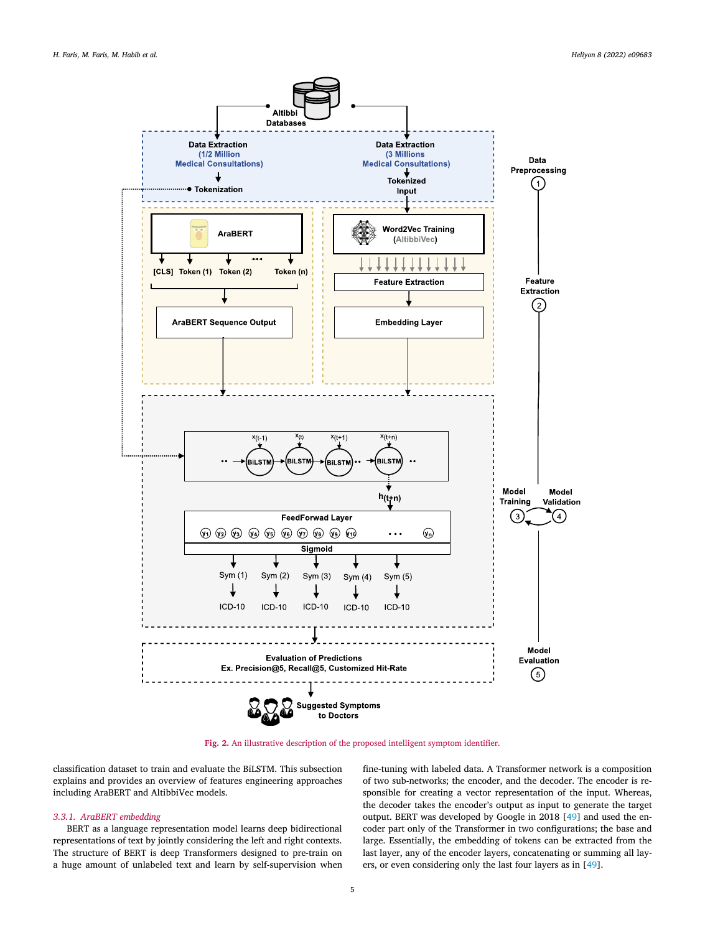<span id="page-4-0"></span>

**Fig. 2.** An illustrative description of the proposed intelligent symptom identifier.

classification dataset to train and evaluate the BiLSTM. This subsection explains and provides an overview of features engineering approaches including AraBERT and AltibbiVec models.

# *3.3.1. AraBERT embedding*

BERT as a language representation model learns deep bidirectional representations of text by jointly considering the left and right contexts. The structure of BERT is deep Transformers designed to pre-train on a huge amount of unlabeled text and learn by self-supervision when fine-tuning with labeled data. A Transformer network is a composition of two sub-networks; the encoder, and the decoder. The encoder is responsible for creating a vector representation of the input. Whereas, the decoder takes the encoder's output as input to generate the target output. BERT was developed by Google in 2018 [[49\]](#page-10-0) and used the encoder part only of the Transformer in two configurations; the base and large. Essentially, the embedding of tokens can be extracted from the last layer, any of the encoder layers, concatenating or summing all layers, or even considering only the last four layers as in [\[49](#page-10-0)].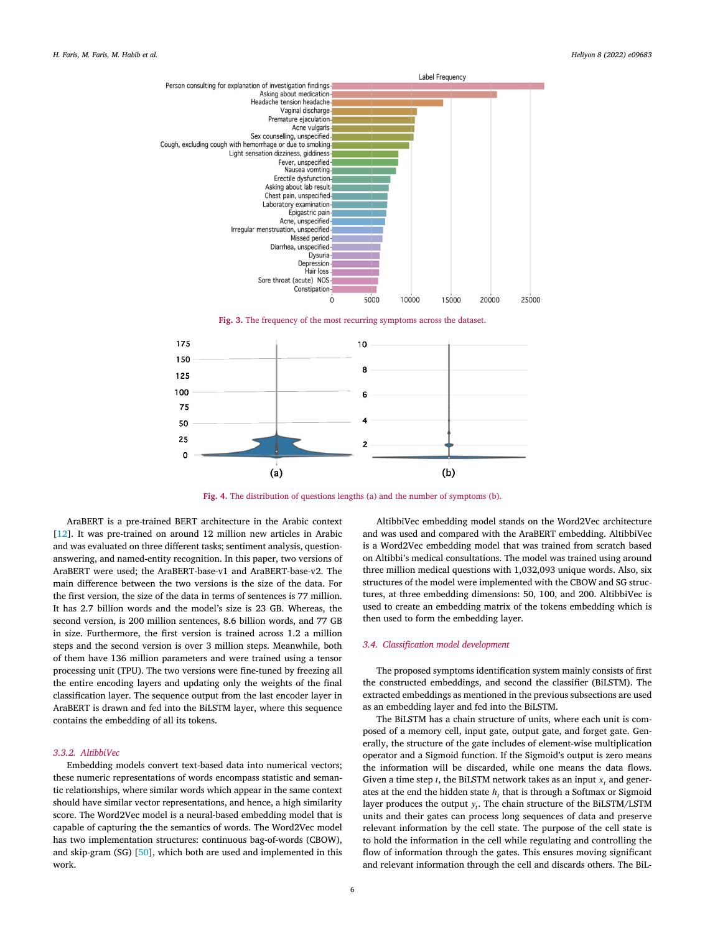<span id="page-5-0"></span>

**Fig. 3.** The frequency of the most recurring symptoms across the dataset.



**Fig. 4.** The distribution of questions lengths (a) and the number of symptoms (b).

AraBERT is a pre-trained BERT architecture in the Arabic context [\[12\]](#page-10-0). It was pre-trained on around 12 million new articles in Arabic and was evaluated on three different tasks; sentiment analysis, questionanswering, and named-entity recognition. In this paper, two versions of AraBERT were used; the AraBERT-base-v1 and AraBERT-base-v2. The main difference between the two versions is the size of the data. For the first version, the size of the data in terms of sentences is 77 million. It has 2.7 billion words and the model's size is 23 GB. Whereas, the second version, is 200 million sentences, 8.6 billion words, and 77 GB in size. Furthermore, the first version is trained across 1.2 a million steps and the second version is over 3 million steps. Meanwhile, both of them have 136 million parameters and were trained using a tensor processing unit (TPU). The two versions were fine-tuned by freezing all the entire encoding layers and updating only the weights of the final classification layer. The sequence output from the last encoder layer in AraBERT is drawn and fed into the BiLSTM layer, where this sequence contains the embedding of all its tokens.

# *3.3.2. AltibbiVec*

Embedding models convert text-based data into numerical vectors; these numeric representations of words encompass statistic and semantic relationships, where similar words which appear in the same context should have similar vector representations, and hence, a high similarity score. The Word2Vec model is a neural-based embedding model that is capable of capturing the the semantics of words. The Word2Vec model has two implementation structures: continuous bag-of-words (CBOW), and skip-gram (SG) [[50\]](#page-10-0), which both are used and implemented in this work.

AltibbiVec embedding model stands on the Word2Vec architecture and was used and compared with the AraBERT embedding. AltibbiVec is a Word2Vec embedding model that was trained from scratch based on Altibbi's medical consultations. The model was trained using around three million medical questions with 1,032,093 unique words. Also, six structures of the model were implemented with the CBOW and SG structures, at three embedding dimensions: 50, 100, and 200. AltibbiVec is used to create an embedding matrix of the tokens embedding which is then used to form the embedding layer.

#### *3.4. Classification model development*

The proposed symptoms identification system mainly consists of first the constructed embeddings, and second the classifier (BiLSTM). The extracted embeddings as mentioned in the previous subsections are used as an embedding layer and fed into the BiLSTM.

The BiLSTM has a chain structure of units, where each unit is composed of a memory cell, input gate, output gate, and forget gate. Generally, the structure of the gate includes of element-wise multiplication operator and a Sigmoid function. If the Sigmoid's output is zero means the information will be discarded, while one means the data flows. Given a time step  $t$ , the BiLSTM network takes as an input  $x_t$ , and generates at the end the hidden state *h*, that is through a Softmax or Sigmoid layer produces the output  $y_t$ . The chain structure of the BiLSTM/LSTM units and their gates can process long sequences of data and preserve relevant information by the cell state. The purpose of the cell state is to hold the information in the cell while regulating and controlling the flow of information through the gates. This ensures moving significant and relevant information through the cell and discards others. The BiL-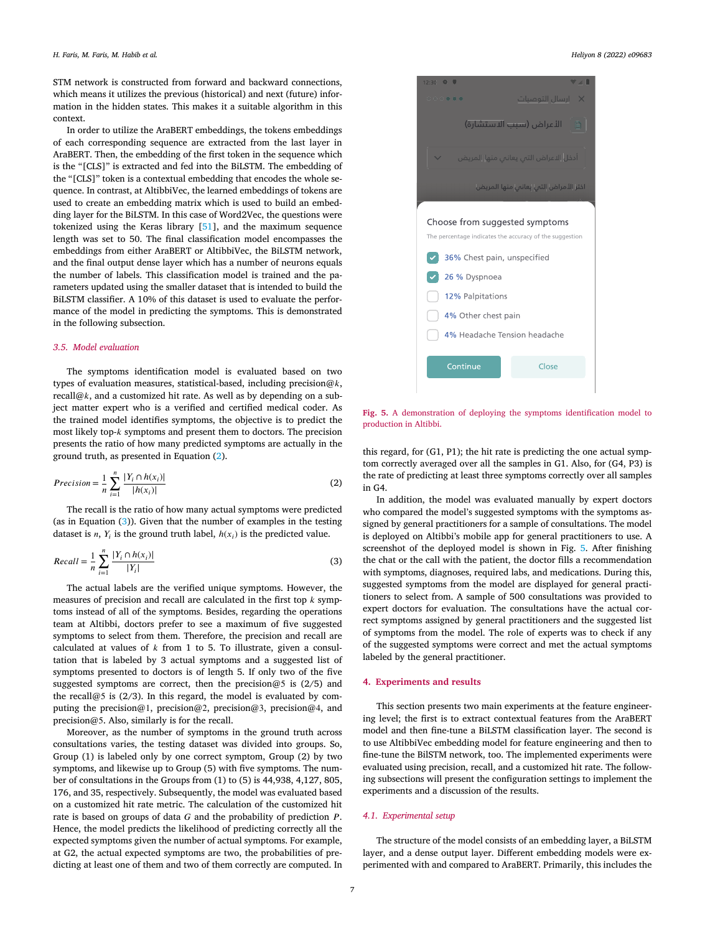STM network is constructed from forward and backward connections, which means it utilizes the previous (historical) and next (future) information in the hidden states. This makes it a suitable algorithm in this context.

In order to utilize the AraBERT embeddings, the tokens embeddings of each corresponding sequence are extracted from the last layer in AraBERT. Then, the embedding of the first token in the sequence which is the "[CLS]" is extracted and fed into the BiLSTM. The embedding of the "[CLS]" token is a contextual embedding that encodes the whole sequence. In contrast, at AltibbiVec, the learned embeddings of tokens are used to create an embedding matrix which is used to build an embedding layer for the BiLSTM. In this case of Word2Vec, the questions were tokenized using the Keras library [\[51](#page-10-0)], and the maximum sequence length was set to 50. The final classification model encompasses the embeddings from either AraBERT or AltibbiVec, the BiLSTM network, and the final output dense layer which has a number of neurons equals the number of labels. This classification model is trained and the parameters updated using the smaller dataset that is intended to build the BiLSTM classifier. A 10% of this dataset is used to evaluate the performance of the model in predicting the symptoms. This is demonstrated in the following subsection.

# *3.5. Model evaluation*

The symptoms identification model is evaluated based on two types of evaluation measures, statistical-based, including precision@ $k$ , recall@ $k$ , and a customized hit rate. As well as by depending on a subject matter expert who is a verified and certified medical coder. As the trained model identifies symptoms, the objective is to predict the most likely top- $k$  symptoms and present them to doctors. The precision presents the ratio of how many predicted symptoms are actually in the ground truth, as presented in Equation (2).

$$
Precision = \frac{1}{n} \sum_{i=1}^{n} \frac{|Y_i \cap h(x_i)|}{|h(x_i)|}
$$
\n(2)

The recall is the ratio of how many actual symptoms were predicted (as in Equation  $(3)$ ). Given that the number of examples in the testing dataset is  $n$ ,  $Y_i$  is the ground truth label,  $h(x_i)$  is the predicted value.

$$
Recall = \frac{1}{n} \sum_{i=1}^{n} \frac{|Y_i \cap h(x_i)|}{|Y_i|}
$$
(3)

The actual labels are the verified unique symptoms. However, the measures of precision and recall are calculated in the first top  $k$  symptoms instead of all of the symptoms. Besides, regarding the operations team at Altibbi, doctors prefer to see a maximum of five suggested symptoms to select from them. Therefore, the precision and recall are calculated at values of  $k$  from 1 to 5. To illustrate, given a consultation that is labeled by 3 actual symptoms and a suggested list of symptoms presented to doctors is of length 5. If only two of the five suggested symptoms are correct, then the precision@5 is (2/5) and the recall@5 is (2/3). In this regard, the model is evaluated by computing the precision@1, precision@2, precision@3, precision@4, and precision@5. Also, similarly is for the recall.

Moreover, as the number of symptoms in the ground truth across consultations varies, the testing dataset was divided into groups. So, Group (1) is labeled only by one correct symptom, Group (2) by two symptoms, and likewise up to Group (5) with five symptoms. The number of consultations in the Groups from (1) to (5) is 44,938, 4,127, 805, 176, and 35, respectively. Subsequently, the model was evaluated based on a customized hit rate metric. The calculation of the customized hit rate is based on groups of data  $G$  and the probability of prediction  $P$ . Hence, the model predicts the likelihood of predicting correctly all the expected symptoms given the number of actual symptoms. For example, at G2, the actual expected symptoms are two, the probabilities of predicting at least one of them and two of them correctly are computed. In



**Fig. 5.** A demonstration of deploying the symptoms identification model to production in Altibbi.

this regard, for (G1, P1); the hit rate is predicting the one actual symptom correctly averaged over all the samples in G1. Also, for (G4, P3) is the rate of predicting at least three symptoms correctly over all samples in G4.

In addition, the model was evaluated manually by expert doctors who compared the model's suggested symptoms with the symptoms assigned by general practitioners for a sample of consultations. The model is deployed on Altibbi's mobile app for general practitioners to use. A screenshot of the deployed model is shown in Fig. 5. After finishing the chat or the call with the patient, the doctor fills a recommendation with symptoms, diagnoses, required labs, and medications. During this, suggested symptoms from the model are displayed for general practitioners to select from. A sample of 500 consultations was provided to expert doctors for evaluation. The consultations have the actual correct symptoms assigned by general practitioners and the suggested list of symptoms from the model. The role of experts was to check if any of the suggested symptoms were correct and met the actual symptoms labeled by the general practitioner.

# **4. Experiments and results**

This section presents two main experiments at the feature engineering level; the first is to extract contextual features from the AraBERT model and then fine-tune a BiLSTM classification layer. The second is to use AltibbiVec embedding model for feature engineering and then to fine-tune the BilSTM network, too. The implemented experiments were evaluated using precision, recall, and a customized hit rate. The following subsections will present the configuration settings to implement the experiments and a discussion of the results.

#### *4.1. Experimental setup*

The structure of the model consists of an embedding layer, a BiLSTM layer, and a dense output layer. Different embedding models were experimented with and compared to AraBERT. Primarily, this includes the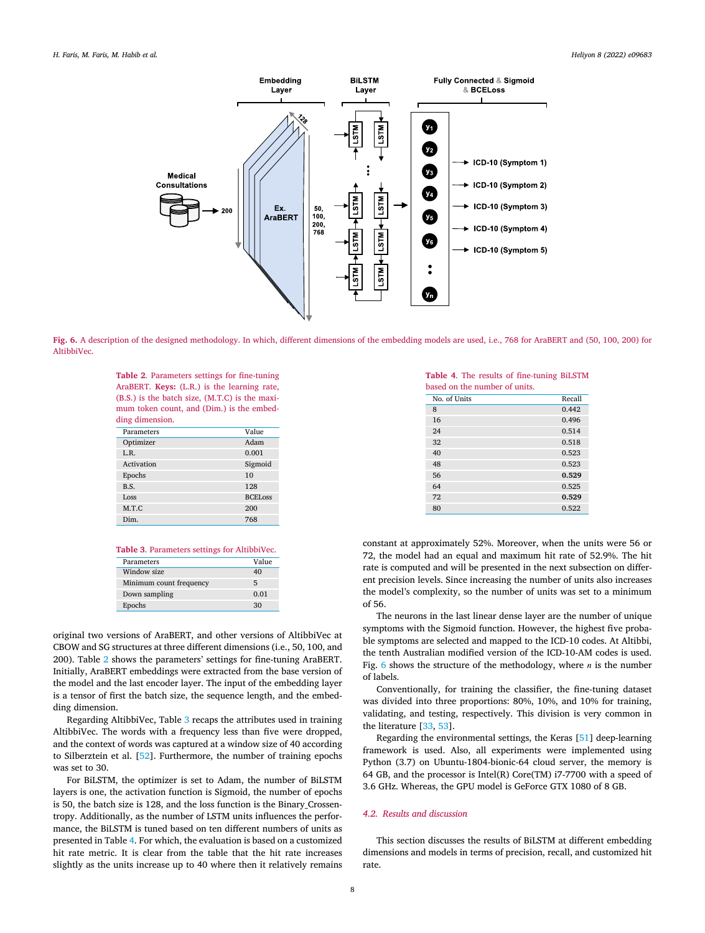<span id="page-7-0"></span>

**Fig. 6.** A description of the designed methodology. In which, different dimensions of the embedding models are used, i.e., 768 for AraBERT and (50, 100, 200) for AltibbiVec.

**Table 2**. Parameters settings for fine-tuning AraBERT. **Keys:** (L.R.) is the learning rate, (B.S.) is the batch size, (M.T.C) is the maximum token count, and (Dim.) is the embedding dimension.

| Parameters | Value          |
|------------|----------------|
| Optimizer  | Adam           |
| L.R.       | 0.001          |
| Activation | Sigmoid        |
| Epochs     | 10             |
| B.S.       | 128            |
| LOSS       | <b>BCELoss</b> |
| M.T.C      | 200            |
| Dim.       | 768            |

**Table 3**. Parameters settings for AltibbiVec.

| Parameters              | Value |
|-------------------------|-------|
| Window size             | 40    |
| Minimum count frequency | 5     |
| Down sampling           | 0.01  |
| Epochs                  | 30    |
|                         |       |

original two versions of AraBERT, and other versions of AltibbiVec at CBOW and SG structures at three different dimensions (i.e., 50, 100, and 200). Table 2 shows the parameters' settings for fine-tuning AraBERT. Initially, AraBERT embeddings were extracted from the base version of the model and the last encoder layer. The input of the embedding layer is a tensor of first the batch size, the sequence length, and the embedding dimension.

Regarding AltibbiVec, Table 3 recaps the attributes used in training AltibbiVec. The words with a frequency less than five were dropped, and the context of words was captured at a window size of 40 according to Silberztein et al. [\[52\]](#page-11-0). Furthermore, the number of training epochs was set to 30.

For BiLSTM, the optimizer is set to Adam, the number of BiLSTM layers is one, the activation function is Sigmoid, the number of epochs is 50, the batch size is 128, and the loss function is the Binary\_Crossentropy. Additionally, as the number of LSTM units influences the performance, the BiLSTM is tuned based on ten different numbers of units as presented in Table 4. For which, the evaluation is based on a customized hit rate metric. It is clear from the table that the hit rate increases slightly as the units increase up to 40 where then it relatively remains

**Table 4**. The results of fine-tuning BiLSTM based on the number of units.

| pased on the number of units. |        |
|-------------------------------|--------|
| No. of Units                  | Recall |
| 8                             | 0.442  |
| 16                            | 0.496  |
| 24                            | 0.514  |
| 32                            | 0.518  |
| 40                            | 0.523  |
| 48                            | 0.523  |
| 56                            | 0.529  |
| 64                            | 0.525  |
| 72                            | 0.529  |
| 80                            | 0.522  |

constant at approximately 52%. Moreover, when the units were 56 or 72, the model had an equal and maximum hit rate of 52.9%. The hit rate is computed and will be presented in the next subsection on different precision levels. Since increasing the number of units also increases the model's complexity, so the number of units was set to a minimum of 56.

The neurons in the last linear dense layer are the number of unique symptoms with the Sigmoid function. However, the highest five probable symptoms are selected and mapped to the ICD-10 codes. At Altibbi, the tenth Australian modified version of the ICD-10-AM codes is used. Fig. 6 shows the structure of the methodology, where  $n$  is the number of labels.

Conventionally, for training the classifier, the fine-tuning dataset was divided into three proportions: 80%, 10%, and 10% for training, validating, and testing, respectively. This division is very common in the literature [[33,](#page-10-0) [53](#page-11-0)].

Regarding the environmental settings, the Keras [\[51\]](#page-10-0) deep-learning framework is used. Also, all experiments were implemented using Python (3.7) on Ubuntu-1804-bionic-64 cloud server, the memory is 64 GB, and the processor is Intel(R) Core(TM) i7-7700 with a speed of 3.6 GHz. Whereas, the GPU model is GeForce GTX 1080 of 8 GB.

# *4.2. Results and discussion*

This section discusses the results of BiLSTM at different embedding dimensions and models in terms of precision, recall, and customized hit rate.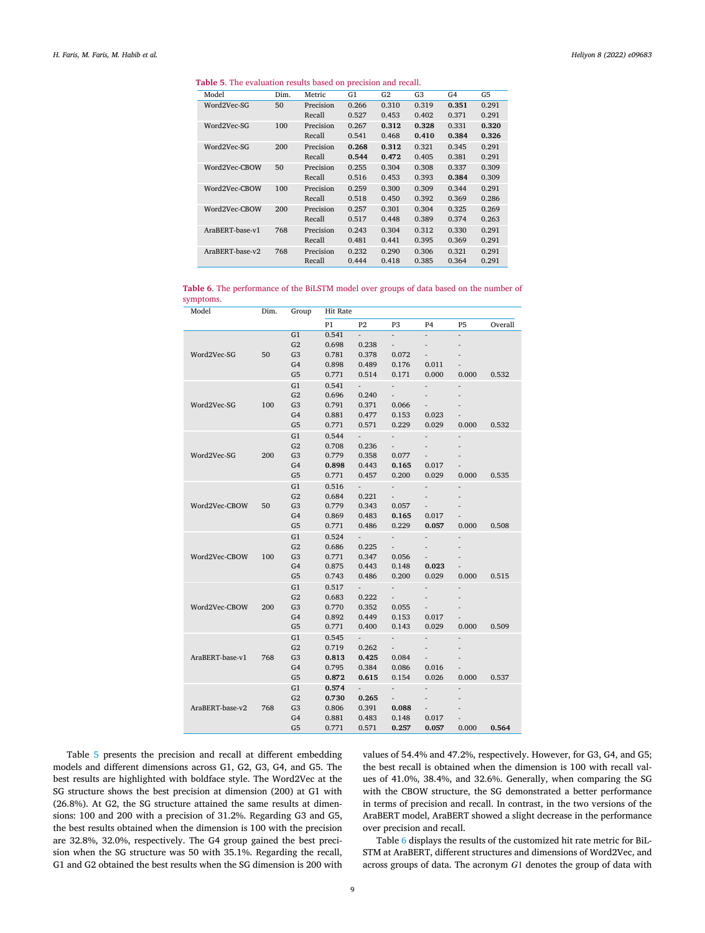# **Table 5**. The evaluation results based on precision and recall.

| Model           | Dim. | Metric    | G1    | G2    | G <sub>3</sub> | G <sub>4</sub> | G5    |
|-----------------|------|-----------|-------|-------|----------------|----------------|-------|
| Word2Vec-SG     | 50   | Precision | 0.266 | 0.310 | 0.319          | 0.351          | 0.291 |
|                 |      | Recall    | 0.527 | 0.453 | 0.402          | 0.371          | 0.291 |
| Word2Vec-SG     | 100  | Precision | 0.267 | 0.312 | 0.328          | 0.331          | 0.320 |
|                 |      | Recall    | 0.541 | 0.468 | 0.410          | 0.384          | 0.326 |
| Word2Vec-SG     | 200  | Precision | 0.268 | 0.312 | 0.321          | 0.345          | 0.291 |
|                 |      | Recall    | 0.544 | 0.472 | 0.405          | 0.381          | 0.291 |
| Word2Vec-CBOW   | 50   | Precision | 0.255 | 0.304 | 0.308          | 0.337          | 0.309 |
|                 |      | Recall    | 0.516 | 0.453 | 0.393          | 0.384          | 0.309 |
| Word2Vec-CBOW   | 100  | Precision | 0.259 | 0.300 | 0.309          | 0.344          | 0.291 |
|                 |      | Recall    | 0.518 | 0.450 | 0.392          | 0.369          | 0.286 |
| Word2Vec-CBOW   | 200  | Precision | 0.257 | 0.301 | 0.304          | 0.325          | 0.269 |
|                 |      | Recall    | 0.517 | 0.448 | 0.389          | 0.374          | 0.263 |
| AraBERT-base-v1 | 768  | Precision | 0.243 | 0.304 | 0.312          | 0.330          | 0.291 |
|                 |      | Recall    | 0.481 | 0.441 | 0.395          | 0.369          | 0.291 |
| AraBERT-base-v2 | 768  | Precision | 0.232 | 0.290 | 0.306          | 0.321          | 0.291 |
|                 |      | Recall    | 0.444 | 0.418 | 0.385          | 0.364          | 0.291 |

**Table 6**. The performance of the BiLSTM model over groups of data based on the number of symptoms.

| Model           | Dim. | Group                | <b>Hit Rate</b> |                |                                   |                          |                          |         |
|-----------------|------|----------------------|-----------------|----------------|-----------------------------------|--------------------------|--------------------------|---------|
|                 |      |                      | P1              | P <sub>2</sub> | P3                                | P <sub>4</sub>           | P <sub>5</sub>           | Overall |
|                 |      | G1                   | 0.541           | ÷.             | $\overline{a}$                    |                          |                          |         |
|                 |      | G <sub>2</sub>       | 0.698           | 0.238          | $\overline{\phantom{a}}$          | $\overline{\phantom{a}}$ | ÷,                       |         |
| Word2Vec-SG     | 50   | G <sub>3</sub>       | 0.781           | 0.378          | 0.072                             | $\blacksquare$           |                          |         |
|                 |      | G4                   | 0.898           | 0.489          | 0.176                             | 0.011                    |                          |         |
|                 |      | G <sub>5</sub>       | 0.771           | 0.514          | 0.171                             | 0.000                    | 0.000                    | 0.532   |
|                 |      | G1                   | 0.541           | ÷.             | ÷.                                | ÷,                       |                          |         |
|                 |      | G <sub>2</sub>       | 0.696           | 0.240          | $\overline{\phantom{0}}$          | $\overline{\phantom{a}}$ | $\overline{\phantom{a}}$ |         |
| Word2Vec-SG     | 100  | G3                   | 0.791           | 0.371          | 0.066                             | ÷.                       |                          |         |
|                 |      | G4                   | 0.881           | 0.477          | 0.153                             | 0.023                    |                          |         |
|                 |      | G <sub>5</sub>       | 0.771           | 0.571          | 0.229                             | 0.029                    | 0.000                    | 0.532   |
|                 |      | G1                   | 0.544           | ÷.             | ÷,                                | $\overline{\phantom{a}}$ | $\centerdot$             |         |
|                 |      | G <sub>2</sub>       | 0.708           | 0.236          | $\overline{\phantom{a}}$          | $\overline{\phantom{a}}$ |                          |         |
| Word2Vec-SG     | 200  | G <sub>3</sub>       | 0.779           | 0.358          | 0.077                             | $\overline{\phantom{a}}$ |                          |         |
|                 |      | G4                   | 0.898           | 0.443          | 0.165                             | 0.017                    |                          |         |
|                 |      | G <sub>5</sub>       | 0.771           | 0.457          | 0.200                             | 0.029                    | 0.000                    | 0.535   |
|                 |      | G <sub>1</sub>       | 0.516           | ÷.             | ÷.                                | $\overline{\phantom{a}}$ | $\centerdot$             |         |
|                 |      | G <sub>2</sub>       | 0.684           | 0.221          | $\overline{\phantom{0}}$          | $\overline{\phantom{m}}$ |                          |         |
| Word2Vec-CBOW   | 50   | G <sub>3</sub>       | 0.779           | 0.343          | 0.057                             | $\overline{\phantom{0}}$ |                          |         |
|                 |      | G4                   | 0.869           | 0.483          | 0.165                             | 0.017                    | ä,                       |         |
|                 |      | G <sub>5</sub>       | 0.771           | 0.486          | 0.229                             | 0.057                    | 0.000                    | 0.508   |
|                 |      | G1                   | 0.524           |                | $\frac{1}{2}$                     | $\overline{\phantom{a}}$ | L,                       |         |
|                 |      | G <sub>2</sub>       | 0.686           | 0.225          | $\overline{\phantom{a}}$          | ÷,                       |                          |         |
| Word2Vec-CBOW   | 100  | G3                   | 0.771           | 0.347          | 0.056                             |                          |                          |         |
|                 |      | G4                   | 0.875           | 0.443          | 0.148                             | 0.023                    |                          |         |
|                 |      | G <sub>5</sub>       | 0.743           | 0.486          | 0.200                             | 0.029                    | 0.000                    | 0.515   |
|                 |      | G1                   | 0.517           |                |                                   |                          |                          |         |
|                 |      | G <sub>2</sub>       | 0.683           | 0.222          | $\overline{\phantom{a}}$          |                          |                          |         |
| Word2Vec-CBOW   | 200  | G <sub>3</sub><br>G4 | 0.770<br>0.892  | 0.352<br>0.449 | 0.055<br>0.153                    | 0.017                    |                          |         |
|                 |      | G <sub>5</sub>       | 0.771           | 0.400          | 0.143                             | 0.029                    | ÷,<br>0.000              | 0.509   |
|                 |      |                      |                 | ÷.             |                                   |                          |                          |         |
|                 |      | G1<br>G <sub>2</sub> | 0.545<br>0.719  | 0.262          | ÷,                                | $\overline{\phantom{a}}$ | $\overline{a}$           |         |
| AraBERT-base-v1 | 768  | G <sub>3</sub>       | 0.813           | 0.425          | $\overline{\phantom{0}}$<br>0.084 |                          |                          |         |
|                 |      | G4                   | 0.795           | 0.384          | 0.086                             | 0.016                    |                          |         |
|                 |      | G <sub>5</sub>       | 0.872           | 0.615          | 0.154                             | 0.026                    | 0.000                    | 0.537   |
|                 |      | G <sub>1</sub>       | 0.574           |                |                                   |                          |                          |         |
|                 |      | G <sub>2</sub>       | 0.730           | 0.265          |                                   |                          |                          |         |
| AraBERT-base-v2 | 768  | G <sub>3</sub>       | 0.806           | 0.391          | 0.088                             |                          |                          |         |
|                 |      | G4                   | 0.881           | 0.483          | 0.148                             | 0.017                    |                          |         |
|                 |      | G <sub>5</sub>       | 0.771           | 0.571          | 0.257                             | 0.057                    | 0.000                    | 0.564   |

Table 5 presents the precision and recall at different embedding models and different dimensions across G1, G2, G3, G4, and G5. The best results are highlighted with boldface style. The Word2Vec at the SG structure shows the best precision at dimension (200) at G1 with (26.8%). At G2, the SG structure attained the same results at dimensions: 100 and 200 with a precision of 31.2%. Regarding G3 and G5, the best results obtained when the dimension is 100 with the precision are 32.8%, 32.0%, respectively. The G4 group gained the best precision when the SG structure was 50 with 35.1%. Regarding the recall, G1 and G2 obtained the best results when the SG dimension is 200 with values of 54.4% and 47.2%, respectively. However, for G3, G4, and G5; the best recall is obtained when the dimension is 100 with recall values of 41.0%, 38.4%, and 32.6%. Generally, when comparing the SG with the CBOW structure, the SG demonstrated a better performance in terms of precision and recall. In contrast, in the two versions of the AraBERT model, AraBERT showed a slight decrease in the performance over precision and recall.

Table 6 displays the results of the customized hit rate metric for BiL-STM at AraBERT, different structures and dimensions of Word2Vec, and across groups of data. The acronym  $G1$  denotes the group of data with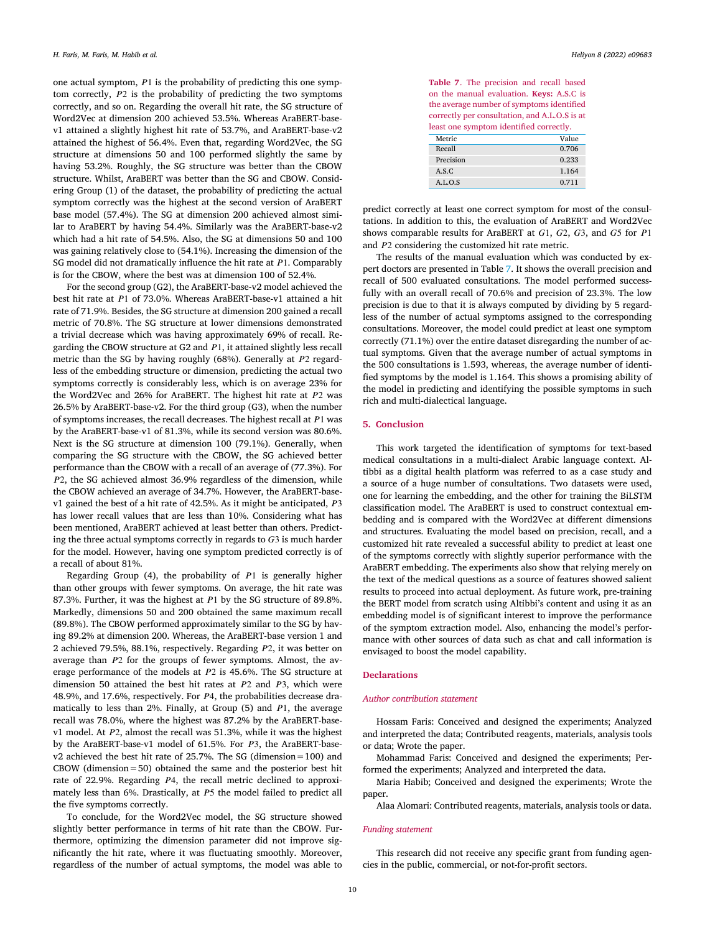<span id="page-9-0"></span>one actual symptom,  $P1$  is the probability of predicting this one symptom correctly,  $P2$  is the probability of predicting the two symptoms correctly, and so on. Regarding the overall hit rate, the SG structure of Word2Vec at dimension 200 achieved 53.5%. Whereas AraBERT-basev1 attained a slightly highest hit rate of 53.7%, and AraBERT-base-v2 attained the highest of 56.4%. Even that, regarding Word2Vec, the SG structure at dimensions 50 and 100 performed slightly the same by having 53.2%. Roughly, the SG structure was better than the CBOW structure. Whilst, AraBERT was better than the SG and CBOW. Considering Group (1) of the dataset, the probability of predicting the actual symptom correctly was the highest at the second version of AraBERT base model (57.4%). The SG at dimension 200 achieved almost similar to AraBERT by having 54.4%. Similarly was the AraBERT-base-v2 which had a hit rate of 54.5%. Also, the SG at dimensions 50 and 100 was gaining relatively close to (54.1%). Increasing the dimension of the SG model did not dramatically influence the hit rate at  $P1$ . Comparably is for the CBOW, where the best was at dimension 100 of 52.4%.

For the second group (G2), the AraBERT-base-v2 model achieved the best hit rate at P1 of 73.0%. Whereas AraBERT-base-v1 attained a hit rate of 71.9%. Besides, the SG structure at dimension 200 gained a recall metric of 70.8%. The SG structure at lower dimensions demonstrated a trivial decrease which was having approximately 69% of recall. Regarding the CBOW structure at G2 and  $P1$ , it attained slightly less recall metric than the SG by having roughly (68%). Generally at  $P2$  regardless of the embedding structure or dimension, predicting the actual two symptoms correctly is considerably less, which is on average 23% for the Word2Vec and 26% for AraBERT. The highest hit rate at  $P2$  was 26.5% by AraBERT-base-v2. For the third group (G3), when the number of symptoms increases, the recall decreases. The highest recall at  $P1$  was by the AraBERT-base-v1 of 81.3%, while its second version was 80.6%. Next is the SG structure at dimension 100 (79.1%). Generally, when comparing the SG structure with the CBOW, the SG achieved better performance than the CBOW with a recall of an average of (77.3%). For 2, the SG achieved almost 36.9% regardless of the dimension, while the CBOW achieved an average of 34.7%. However, the AraBERT-basev1 gained the best of a hit rate of 42.5%. As it might be anticipated,  $P3$ has lower recall values that are less than 10%. Considering what has been mentioned, AraBERT achieved at least better than others. Predicting the three actual symptoms correctly in regards to  $G3$  is much harder for the model. However, having one symptom predicted correctly is of a recall of about 81%.

Regarding Group  $(4)$ , the probability of  $P1$  is generally higher than other groups with fewer symptoms. On average, the hit rate was 87.3%. Further, it was the highest at  $P1$  by the SG structure of 89.8%. Markedly, dimensions 50 and 200 obtained the same maximum recall (89.8%). The CBOW performed approximately similar to the SG by having 89.2% at dimension 200. Whereas, the AraBERT-base version 1 and 2 achieved 79.5%, 88.1%, respectively. Regarding P2, it was better on average than  $P2$  for the groups of fewer symptoms. Almost, the average performance of the models at  $P2$  is 45.6%. The SG structure at dimension 50 attained the best hit rates at  $P2$  and  $P3$ , which were 48.9%, and 17.6%, respectively. For P4, the probabilities decrease dramatically to less than  $2\%$ . Finally, at Group (5) and  $P1$ , the average recall was 78.0%, where the highest was 87.2% by the AraBERT-basev1 model. At  $P2$ , almost the recall was 51.3%, while it was the highest by the AraBERT-base-v1 model of  $61.5\%$ . For  $P3$ , the AraBERT-basev2 achieved the best hit rate of 25.7%. The SG (dimension=100) and CBOW (dimension=50) obtained the same and the posterior best hit rate of 22.9%. Regarding  $P4$ , the recall metric declined to approximately less than  $6\%$ . Drastically, at  $P5$  the model failed to predict all the five symptoms correctly.

To conclude, for the Word2Vec model, the SG structure showed slightly better performance in terms of hit rate than the CBOW. Furthermore, optimizing the dimension parameter did not improve significantly the hit rate, where it was fluctuating smoothly. Moreover, regardless of the number of actual symptoms, the model was able to

**Table 7**. The precision and recall based on the manual evaluation. **Keys:** A.S.C is the average number of symptoms identified correctly per consultation, and A.L.O.S is at least one symptom identified correctly.

| Metric    | Value |
|-----------|-------|
| Recall    | 0.706 |
| Precision | 0.233 |
| A.S.C.    | 1.164 |
| A.I.O.S   | 0.711 |

predict correctly at least one correct symptom for most of the consultations. In addition to this, the evaluation of AraBERT and Word2Vec shows comparable results for AraBERT at  $G1$ ,  $G2$ ,  $G3$ , and  $G5$  for  $P1$ and  $P2$  considering the customized hit rate metric.

The results of the manual evaluation which was conducted by expert doctors are presented in Table 7. It shows the overall precision and recall of 500 evaluated consultations. The model performed successfully with an overall recall of 70.6% and precision of 23.3%. The low precision is due to that it is always computed by dividing by 5 regardless of the number of actual symptoms assigned to the corresponding consultations. Moreover, the model could predict at least one symptom correctly (71.1%) over the entire dataset disregarding the number of actual symptoms. Given that the average number of actual symptoms in the 500 consultations is 1.593, whereas, the average number of identified symptoms by the model is 1.164. This shows a promising ability of the model in predicting and identifying the possible symptoms in such rich and multi-dialectical language.

# **5. Conclusion**

This work targeted the identification of symptoms for text-based medical consultations in a multi-dialect Arabic language context. Altibbi as a digital health platform was referred to as a case study and a source of a huge number of consultations. Two datasets were used, one for learning the embedding, and the other for training the BiLSTM classification model. The AraBERT is used to construct contextual embedding and is compared with the Word2Vec at different dimensions and structures. Evaluating the model based on precision, recall, and a customized hit rate revealed a successful ability to predict at least one of the symptoms correctly with slightly superior performance with the AraBERT embedding. The experiments also show that relying merely on the text of the medical questions as a source of features showed salient results to proceed into actual deployment. As future work, pre-training the BERT model from scratch using Altibbi's content and using it as an embedding model is of significant interest to improve the performance of the symptom extraction model. Also, enhancing the model's performance with other sources of data such as chat and call information is envisaged to boost the model capability.

#### **Declarations**

#### *Author contribution statement*

Hossam Faris: Conceived and designed the experiments; Analyzed and interpreted the data; Contributed reagents, materials, analysis tools or data; Wrote the paper.

Mohammad Faris: Conceived and designed the experiments; Performed the experiments; Analyzed and interpreted the data.

Maria Habib; Conceived and designed the experiments; Wrote the paper.

Alaa Alomari: Contributed reagents, materials, analysis tools or data.

#### *Funding statement*

This research did not receive any specific grant from funding agencies in the public, commercial, or not-for-profit sectors.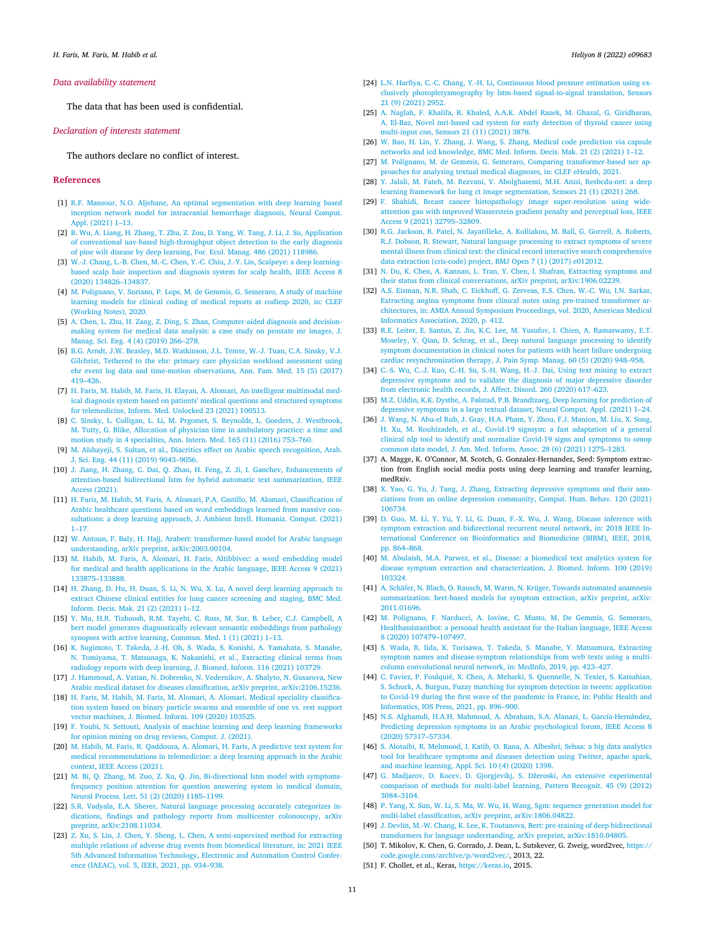### <span id="page-10-0"></span>*Data availability statement*

The data that has been used is confidential.

### *Declaration of interests statement*

The authors declare no conflict of interest.

#### **References**

- [1] R.F. Mansour, N.O. Aljehane, An optimal [segmentation](http://refhub.elsevier.com/S2405-8440(22)00971-9/bibF54D45F65C497898003A38D4943C0BA7s1) with deep learning based inception network model for intracranial [hemorrhage](http://refhub.elsevier.com/S2405-8440(22)00971-9/bibF54D45F65C497898003A38D4943C0BA7s1) diagnosis, Neural Comput. Appl. [\(2021\)](http://refhub.elsevier.com/S2405-8440(22)00971-9/bibF54D45F65C497898003A38D4943C0BA7s1) 1–13.
- [2] B. Wu, A. Liang, H. Zhang, T. Zhu, Z. Zou, D. Yang, W. Tang, J. Li, J. Su, [Application](http://refhub.elsevier.com/S2405-8440(22)00971-9/bibC1BC3F3B6BF4523417A0AF776AE686DBs1) of conventional uav-based [high-throughput](http://refhub.elsevier.com/S2405-8440(22)00971-9/bibC1BC3F3B6BF4523417A0AF776AE686DBs1) object detection to the early diagnosis of pine wilt disease by deep [learning,](http://refhub.elsevier.com/S2405-8440(22)00971-9/bibC1BC3F3B6BF4523417A0AF776AE686DBs1) For. Ecol. Manag. 486 (2021) 118986.
- [3] W.-J. Chang, L.-B. Chen, M.-C. Chen, Y.-C. Chiu, J.-Y. Lin, [Scalpeye:](http://refhub.elsevier.com/S2405-8440(22)00971-9/bib44525D62F1A973CB55989CBB197D52B7s1) a deep learningbased scalp hair [inspection](http://refhub.elsevier.com/S2405-8440(22)00971-9/bib44525D62F1A973CB55989CBB197D52B7s1) and diagnosis system for scalp health, IEEE Access 8 (2020) [134826–134837.](http://refhub.elsevier.com/S2405-8440(22)00971-9/bib44525D62F1A973CB55989CBB197D52B7s1)
- [4] M. [Polignano,](http://refhub.elsevier.com/S2405-8440(22)00971-9/bib5B9340648F636429E60F4DFD590F7119s1) V. Suriano, P. Lops, M. de Gemmis, G. Semeraro, A study of machine [learning](http://refhub.elsevier.com/S2405-8440(22)00971-9/bib5B9340648F636429E60F4DFD590F7119s1) models for clinical coding of medical reports at codiesp 2020, in: CLEF [\(Working](http://refhub.elsevier.com/S2405-8440(22)00971-9/bib5B9340648F636429E60F4DFD590F7119s1) Notes), 2020.
- [5] A. Chen, L. Zhu, H. Zang, Z. Ding, S. Zhan, [Computer-aided](http://refhub.elsevier.com/S2405-8440(22)00971-9/bib0644AE5B3CD29CADC1EFDEF619C9E1C5s1) diagnosis and decisionmaking system for medical data [analysis:](http://refhub.elsevier.com/S2405-8440(22)00971-9/bib0644AE5B3CD29CADC1EFDEF619C9E1C5s1) a case study on prostate mr images, J. Manag. Sci. Eng. 4 (4) (2019) [266–278.](http://refhub.elsevier.com/S2405-8440(22)00971-9/bib0644AE5B3CD29CADC1EFDEF619C9E1C5s1)
- [6] B.G. Arndt, J.W. Beasley, M.D. [Watkinson,](http://refhub.elsevier.com/S2405-8440(22)00971-9/bib94D76C4DA5CE00F56917A60FDA425028s1) J.L. Temte, W.-J. Tuan, C.A. Sinsky, V.J. Gilchrist, Tethered to the ehr: primary care physician workload [assessment](http://refhub.elsevier.com/S2405-8440(22)00971-9/bib94D76C4DA5CE00F56917A60FDA425028s1) using ehr event log data and time-motion [observations,](http://refhub.elsevier.com/S2405-8440(22)00971-9/bib94D76C4DA5CE00F56917A60FDA425028s1) Ann. Fam. Med. 15 (5) (2017) [419–426.](http://refhub.elsevier.com/S2405-8440(22)00971-9/bib94D76C4DA5CE00F56917A60FDA425028s1)
- [7] H. Faris, M. Habib, M. Faris, H. Elayan, A. Alomari, An intelligent [multimodal](http://refhub.elsevier.com/S2405-8440(22)00971-9/bib994B202B4D421F8E7D1B404AF7D13F48s1) medical diagnosis system based on patients' medical questions and [structured](http://refhub.elsevier.com/S2405-8440(22)00971-9/bib994B202B4D421F8E7D1B404AF7D13F48s1) symptoms for [telemedicine,](http://refhub.elsevier.com/S2405-8440(22)00971-9/bib994B202B4D421F8E7D1B404AF7D13F48s1) Inform. Med. Unlocked 23 (2021) 100513.
- [8] C. Sinsky, L. Colligan, L. Li, M. Prgomet, S. Reynolds, L. Goeders, J. [Westbrook,](http://refhub.elsevier.com/S2405-8440(22)00971-9/bibFACB363A91F7B6D8F0991ACF4874D87Fs1) M. Tutty, G. Blike, Allocation of physician time in [ambulatory](http://refhub.elsevier.com/S2405-8440(22)00971-9/bibFACB363A91F7B6D8F0991ACF4874D87Fs1) practice: a time and motion study in 4 [specialties,](http://refhub.elsevier.com/S2405-8440(22)00971-9/bibFACB363A91F7B6D8F0991ACF4874D87Fs1) Ann. Intern. Med. 165 (11) (2016) 753–760.
- [9] M. Alshayeji, S. Sultan, et al., Diacritics effect on Arabic speech [recognition,](http://refhub.elsevier.com/S2405-8440(22)00971-9/bib77F19FE73CE7FC0CA875DBBB0EF87E24s1) Arab. J. Sci. Eng. 44 (11) (2019) [9043–9056.](http://refhub.elsevier.com/S2405-8440(22)00971-9/bib77F19FE73CE7FC0CA875DBBB0EF87E24s1)
- [10] J. Jiang, H. Zhang, C. Dai, Q. Zhao, H. Feng, Z. Ji, I. Ganchev, [Enhancements](http://refhub.elsevier.com/S2405-8440(22)00971-9/bibE2B06B864F77F21F5349E2CDA9C96EC7s1) of attention-based bidirectional lstm for hybrid automatic text [summarization,](http://refhub.elsevier.com/S2405-8440(22)00971-9/bibE2B06B864F77F21F5349E2CDA9C96EC7s1) IEEE Access [\(2021\).](http://refhub.elsevier.com/S2405-8440(22)00971-9/bibE2B06B864F77F21F5349E2CDA9C96EC7s1)
- [11] H. Faris, M. Habib, M. Faris, A. Alomari, P.A. Castillo, M. Alomari, [Classification](http://refhub.elsevier.com/S2405-8440(22)00971-9/bib07F9F6276885D5FD75B94D2205A962C2s1) of Arabic healthcare questions based on word [embeddings](http://refhub.elsevier.com/S2405-8440(22)00971-9/bib07F9F6276885D5FD75B94D2205A962C2s1) learned from massive con[sultations:](http://refhub.elsevier.com/S2405-8440(22)00971-9/bib07F9F6276885D5FD75B94D2205A962C2s1) a deep learning approach, J. Ambient Intell. Humaniz. Comput. (2021) [1–17.](http://refhub.elsevier.com/S2405-8440(22)00971-9/bib07F9F6276885D5FD75B94D2205A962C2s1)
- [12] W. Antoun, F. Baly, H. Hajj, Arabert: [transformer-based](http://refhub.elsevier.com/S2405-8440(22)00971-9/bibB0C6B76EFD15E30A9FF546748C2A44F5s1) model for Arabic language understanding, arXiv preprint, [arXiv:2003.00104.](http://refhub.elsevier.com/S2405-8440(22)00971-9/bibB0C6B76EFD15E30A9FF546748C2A44F5s1)
- [13] M. Habib, M. Faris, A. Alomari, H. Faris, Altibbivec: a word [embedding](http://refhub.elsevier.com/S2405-8440(22)00971-9/bib094A1D0E86D058E0B04BE3548F6EAD63s1) model for medical and health [applications](http://refhub.elsevier.com/S2405-8440(22)00971-9/bib094A1D0E86D058E0B04BE3548F6EAD63s1) in the Arabic language, IEEE Access 9 (2021) [133875–133888.](http://refhub.elsevier.com/S2405-8440(22)00971-9/bib094A1D0E86D058E0B04BE3548F6EAD63s1)
- [14] H. Zhang, D. Hu, H. Duan, S. Li, N. Wu, X. Lu, A novel deep learning [approach](http://refhub.elsevier.com/S2405-8440(22)00971-9/bib424AC81937A5B1D757AC816C8E56FA76s1) to extract Chinese clinical entities for lung cancer [screening](http://refhub.elsevier.com/S2405-8440(22)00971-9/bib424AC81937A5B1D757AC816C8E56FA76s1) and staging, BMC Med. [Inform.](http://refhub.elsevier.com/S2405-8440(22)00971-9/bib424AC81937A5B1D757AC816C8E56FA76s1) Decis. Mak. 21 (2) (2021) 1–12.
- [15] Y. Mu, H.R. Tizhoosh, R.M. Tayebi, C. Ross, M. Sur, B. Leber, C.J. [Campbell,](http://refhub.elsevier.com/S2405-8440(22)00971-9/bibA5E9F0650F2E79B8A0C3039C09496F3Ds1) A bert model generates [diagnostically](http://refhub.elsevier.com/S2405-8440(22)00971-9/bibA5E9F0650F2E79B8A0C3039C09496F3Ds1) relevant semantic embeddings from pathology synopses with active learning, [Commun.](http://refhub.elsevier.com/S2405-8440(22)00971-9/bibA5E9F0650F2E79B8A0C3039C09496F3Ds1) Med. 1 (1) (2021) 1–13.
- [16] K. Sugimoto, T. Takeda, J.-H. Oh, S. Wada, S. Konishi, A. [Yamahata,](http://refhub.elsevier.com/S2405-8440(22)00971-9/bib0A488FFC7B2E8081F9DA37FA03AFC641s1) S. Manabe, N. Tomiyama, T. [Matsunaga,](http://refhub.elsevier.com/S2405-8440(22)00971-9/bib0A488FFC7B2E8081F9DA37FA03AFC641s1) K. Nakanishi, et al., Extracting clinical terms from [radiology](http://refhub.elsevier.com/S2405-8440(22)00971-9/bib0A488FFC7B2E8081F9DA37FA03AFC641s1) reports with deep learning, J. Biomed. Inform. 116 (2021) 103729.
- [17] J. Hammoud, A. Vatian, N. Dobrenko, N. [Vedernikov,](http://refhub.elsevier.com/S2405-8440(22)00971-9/bibE544995D1636428C53B94E86F22013C6s1) A. Shalyto, N. Gusarova, New Arabic medical dataset for diseases classification, arXiv preprint, [arXiv:2106.15236.](http://refhub.elsevier.com/S2405-8440(22)00971-9/bibE544995D1636428C53B94E86F22013C6s1)
- [18] H. Faris, M. Habib, M. Faris, M. Alomari, A. Alomari, Medical [speciality](http://refhub.elsevier.com/S2405-8440(22)00971-9/bibC3FD5EEEEBF7DECA5C3D7E0531713FECs1) classification system based on binary particle swarms and [ensemble](http://refhub.elsevier.com/S2405-8440(22)00971-9/bibC3FD5EEEEBF7DECA5C3D7E0531713FECs1) of one vs. rest support vector [machines,](http://refhub.elsevier.com/S2405-8440(22)00971-9/bibC3FD5EEEEBF7DECA5C3D7E0531713FECs1) J. Biomed. Inform. 109 (2020) 103525.
- [19] F. Youbi, N. Settouti, Analysis of machine learning and deep learning [frameworks](http://refhub.elsevier.com/S2405-8440(22)00971-9/bibA56DDFB1B79D4A339B434F0A2264A4A0s1) for opinion mining on drug reviews, [Comput.](http://refhub.elsevier.com/S2405-8440(22)00971-9/bibA56DDFB1B79D4A339B434F0A2264A4A0s1) J. (2021).
- [20] M. Habib, M. Faris, R. [Qaddoura,](http://refhub.elsevier.com/S2405-8440(22)00971-9/bib27609B78F0F828198A1F6DE5F9C3317Cs1) A. Alomari, H. Faris, A predictive text system for medical [recommendations](http://refhub.elsevier.com/S2405-8440(22)00971-9/bib27609B78F0F828198A1F6DE5F9C3317Cs1) in telemedicine: a deep learning approach in the Arabic [context,](http://refhub.elsevier.com/S2405-8440(22)00971-9/bib27609B78F0F828198A1F6DE5F9C3317Cs1) IEEE Access (2021).
- [21] M. Bi, Q. Zhang, M. Zuo, Z. Xu, Q. Jin, [Bi-directional](http://refhub.elsevier.com/S2405-8440(22)00971-9/bib3E8337E5D356A82D4B6D747BD31616B9s1) lstm model with symptomsfrequency position attention for question [answering](http://refhub.elsevier.com/S2405-8440(22)00971-9/bib3E8337E5D356A82D4B6D747BD31616B9s1) system in medical domain, Neural Process. Lett. 51 (2) (2020) [1185–1199.](http://refhub.elsevier.com/S2405-8440(22)00971-9/bib3E8337E5D356A82D4B6D747BD31616B9s1)
- [22] S.R. Vadyala, E.A. Sherer, Natural language processing accurately [categorizes](http://refhub.elsevier.com/S2405-8440(22)00971-9/bibD58208DD562C64ACE4F82C47B638A18Ds1) indications, findings and pathology reports from multicenter [colonoscopy,](http://refhub.elsevier.com/S2405-8440(22)00971-9/bibD58208DD562C64ACE4F82C47B638A18Ds1) arXiv preprint, [arXiv:2108.11034.](http://refhub.elsevier.com/S2405-8440(22)00971-9/bibD58208DD562C64ACE4F82C47B638A18Ds1)
- [23] Z. Xu, S. Lin, J. Chen, Y. Sheng, L. Chen, A [semi-supervised](http://refhub.elsevier.com/S2405-8440(22)00971-9/bib97F296766B9AB5DD9E09FEB19ADFE8E8s1) method for extracting multiple relations of adverse drug events from [biomedical](http://refhub.elsevier.com/S2405-8440(22)00971-9/bib97F296766B9AB5DD9E09FEB19ADFE8E8s1) literature, in: 2021 IEEE 5th Advanced Information [Technology,](http://refhub.elsevier.com/S2405-8440(22)00971-9/bib97F296766B9AB5DD9E09FEB19ADFE8E8s1) Electronic and Automation Control Conference (IAEAC), vol. 5, IEEE, 2021, [pp. 934–938.](http://refhub.elsevier.com/S2405-8440(22)00971-9/bib97F296766B9AB5DD9E09FEB19ADFE8E8s1)
- [24] L.N. Harfiya, C.-C. Chang, Y.-H. Li, [Continuous](http://refhub.elsevier.com/S2405-8440(22)00971-9/bibF26C9DB22E597EB5E7106CC99266598Cs1) blood pressure estimation using exclusively [photopletysmography](http://refhub.elsevier.com/S2405-8440(22)00971-9/bibF26C9DB22E597EB5E7106CC99266598Cs1) by lstm-based signal-to-signal translation, Sensors 21 (9) [\(2021\)](http://refhub.elsevier.com/S2405-8440(22)00971-9/bibF26C9DB22E597EB5E7106CC99266598Cs1) 2952.
- [25] A. Naglah, F. Khalifa, R. Khaled, A.A.K. Abdel Razek, M. Ghazal, G. [Giridharan,](http://refhub.elsevier.com/S2405-8440(22)00971-9/bibD90769596D6361693B711EC9D9BBA58Bs1) A. El-Baz, Novel [mri-based](http://refhub.elsevier.com/S2405-8440(22)00971-9/bibD90769596D6361693B711EC9D9BBA58Bs1) cad system for early detection of thyroid cancer using [multi-input](http://refhub.elsevier.com/S2405-8440(22)00971-9/bibD90769596D6361693B711EC9D9BBA58Bs1) cnn, Sensors 21 (11) (2021) 3878.
- [26] W. Bao, H. Lin, Y. Zhang, J. Wang, S. Zhang, Medical code [prediction](http://refhub.elsevier.com/S2405-8440(22)00971-9/bib74D1A19269FF0EA80A67C05593055C47s1) via capsule networks and icd [knowledge,](http://refhub.elsevier.com/S2405-8440(22)00971-9/bib74D1A19269FF0EA80A67C05593055C47s1) BMC Med. Inform. Decis. Mak. 21 (2) (2021) 1–12.
- [27] M. Polignano, M. de Gemmis, G. Semeraro, Comparing [transformer-based](http://refhub.elsevier.com/S2405-8440(22)00971-9/bibC060D3584613C51244419BDFFD2AF7AEs1) ner approaches for analysing textual medical [diagnoses,](http://refhub.elsevier.com/S2405-8440(22)00971-9/bibC060D3584613C51244419BDFFD2AF7AEs1) in: CLEF eHealth, 2021.
- [28] Y. Jalali, M. Fateh, M. Rezvani, V. [Abolghasemi,](http://refhub.elsevier.com/S2405-8440(22)00971-9/bibFF705077E9EE4450A101345E141FC716s1) M.H. Anisi, Resbcdu-net: a deep earning framework for lung ct image [segmentation,](http://refhub.elsevier.com/S2405-8440(22)00971-9/bibFF705077E9EE4450A101345E141FC716s1) Sensors 21 (1) (2021) 268.
- [29] F. Shahidi, Breast cancer histopathology image [super-resolution](http://refhub.elsevier.com/S2405-8440(22)00971-9/bibC5C7E172AAE46A41ADCE2AB2ED30F493s1) using wideattention gan with improved [Wasserstein](http://refhub.elsevier.com/S2405-8440(22)00971-9/bibC5C7E172AAE46A41ADCE2AB2ED30F493s1) gradient penalty and perceptual loss, IEEE Access 9 (2021) [32795–32809.](http://refhub.elsevier.com/S2405-8440(22)00971-9/bibC5C7E172AAE46A41ADCE2AB2ED30F493s1)
- [30] R.G. Jackson, R. Patel, N. [Jayatilleke,](http://refhub.elsevier.com/S2405-8440(22)00971-9/bibF6B03727E639518051471BE77B9D0801s1) A. Kolliakou, M. Ball, G. Gorrell, A. Roberts, R.J. Dobson, R. Stewart, Natural language [processing](http://refhub.elsevier.com/S2405-8440(22)00971-9/bibF6B03727E639518051471BE77B9D0801s1) to extract symptoms of severe mental illness from clinical text: the clinical record interactive search [comprehensive](http://refhub.elsevier.com/S2405-8440(22)00971-9/bibF6B03727E639518051471BE77B9D0801s1) data extraction [\(cris-code\)](http://refhub.elsevier.com/S2405-8440(22)00971-9/bibF6B03727E639518051471BE77B9D0801s1) project, BMJ Open 7 (1) (2017) e012012.
- [31] N. Du, K. Chen, A. Kannan, L. Tran, Y. Chen, I. Shafran, [Extracting](http://refhub.elsevier.com/S2405-8440(22)00971-9/bib438CE122B16C9C37C4B64ECAFB2D5492s1) symptoms and their status from clinical conversations, arXiv preprint, [arXiv:1906.02239.](http://refhub.elsevier.com/S2405-8440(22)00971-9/bib438CE122B16C9C37C4B64ECAFB2D5492s1)
- [32] A.S. Eisman, N.R. Shah, C. [Eickhoff,](http://refhub.elsevier.com/S2405-8440(22)00971-9/bibF0FC4842B8A289623AE5632DCBBA714Bs1) G. Zerveas, E.S. Chen, W.-C. Wu, I.N. Sarkar, Extracting angina symptoms from clinical notes using pre-trained [transformer](http://refhub.elsevier.com/S2405-8440(22)00971-9/bibF0FC4842B8A289623AE5632DCBBA714Bs1) architectures, in: AMIA Annual Symposium [Proceedings,](http://refhub.elsevier.com/S2405-8440(22)00971-9/bibF0FC4842B8A289623AE5632DCBBA714Bs1) vol. 2020, American Medical Informatics [Association,](http://refhub.elsevier.com/S2405-8440(22)00971-9/bibF0FC4842B8A289623AE5632DCBBA714Bs1) 2020, p. 412.
- [33] R.E. Leiter, E. Santus, Z. Jin, K.C. Lee, M. Yusufov, I. Chien, A. [Ramaswamy,](http://refhub.elsevier.com/S2405-8440(22)00971-9/bibF62A69CB0A7270D30D0394EB000A85F7s1) E.T. Moseley, Y. Qian, D. Schrag, et al., Deep natural language [processing](http://refhub.elsevier.com/S2405-8440(22)00971-9/bibF62A69CB0A7270D30D0394EB000A85F7s1) to identify symptom [documentation](http://refhub.elsevier.com/S2405-8440(22)00971-9/bibF62A69CB0A7270D30D0394EB000A85F7s1) in clinical notes for patients with heart failure undergoing cardiac [resynchronization](http://refhub.elsevier.com/S2405-8440(22)00971-9/bibF62A69CB0A7270D30D0394EB000A85F7s1) therapy, J. Pain Symp. Manag. 60 (5) (2020) 948–958.
- [34] C.-S. Wu, C.-J. Kuo, C.-H. Su, S.-H. Wang, H.-J. Dai, Using text [mining](http://refhub.elsevier.com/S2405-8440(22)00971-9/bibCEE81D5986C0E6135C9424FA486B9B78s1) to extract [depressive](http://refhub.elsevier.com/S2405-8440(22)00971-9/bibCEE81D5986C0E6135C9424FA486B9B78s1) symptoms and to validate the diagnosis of major depressive disorder from [electronic](http://refhub.elsevier.com/S2405-8440(22)00971-9/bibCEE81D5986C0E6135C9424FA486B9B78s1) health records, J. Affect. Disord. 260 (2020) 617–623.
- [35] M.Z. Uddin, K.K. Dysthe, A. Følstad, P.B. [Brandtzaeg,](http://refhub.elsevier.com/S2405-8440(22)00971-9/bibDCE383BE0272E4FD3905FD58BF2AFC3Ds1) Deep learning for prediction of [depressive](http://refhub.elsevier.com/S2405-8440(22)00971-9/bibDCE383BE0272E4FD3905FD58BF2AFC3Ds1) symptoms in a large textual dataset, Neural Comput. Appl. (2021) 1–24.
- [36] J. Wang, N. Abu-el Rub, J. Gray, H.A. Pham, Y. Zhou, F.J. [Manion,](http://refhub.elsevier.com/S2405-8440(22)00971-9/bib4E0DD3455A2CC33E1A82F9F24520A049s1) M. Liu, X. Song, H. Xu, M. [Rouhizadeh,](http://refhub.elsevier.com/S2405-8440(22)00971-9/bib4E0DD3455A2CC33E1A82F9F24520A049s1) et al., Covid-19 signsym: a fast adaptation of a general clinical nlp tool to identify and normalize Covid-19 signs and [symptoms](http://refhub.elsevier.com/S2405-8440(22)00971-9/bib4E0DD3455A2CC33E1A82F9F24520A049s1) to omop common data model, J. Am. Med. Inform. Assoc. 28 (6) (2021) [1275–1283.](http://refhub.elsevier.com/S2405-8440(22)00971-9/bib4E0DD3455A2CC33E1A82F9F24520A049s1)
- [37] A. Magge, K. O'Connor, M. Scotch, G. Gonzalez-Hernandez, Seed: Symptom extraction from English social media posts using deep learning and transfer learning, medRxiv.
- [38] X. Yao, G. Yu, J. Tang, J. Zhang, Extracting [depressive](http://refhub.elsevier.com/S2405-8440(22)00971-9/bib95912916C242F0C3AB9122FB299F5664s1) symptoms and their associations from an online depression [community,](http://refhub.elsevier.com/S2405-8440(22)00971-9/bib95912916C242F0C3AB9122FB299F5664s1) Comput. Hum. Behav. 120 (2021) [106734.](http://refhub.elsevier.com/S2405-8440(22)00971-9/bib95912916C242F0C3AB9122FB299F5664s1)
- [39] D. Guo, M. Li, Y. Yu, Y. Li, G. Duan, F.-X. Wu, J. Wang, Disease [inference](http://refhub.elsevier.com/S2405-8440(22)00971-9/bib6F6D61AF143E8F059735307A2B566B77s1) with symptom extraction and [bidirectional](http://refhub.elsevier.com/S2405-8440(22)00971-9/bib6F6D61AF143E8F059735307A2B566B77s1) recurrent neural network, in: 2018 IEEE International Conference on [Bioinformatics](http://refhub.elsevier.com/S2405-8440(22)00971-9/bib6F6D61AF143E8F059735307A2B566B77s1) and Biomedicine (BIBM), IEEE, 2018, [pp. 864–868.](http://refhub.elsevier.com/S2405-8440(22)00971-9/bib6F6D61AF143E8F059735307A2B566B77s1)
- [40] M. Abulaish, M.A. Parwez, et al., Disease: a [biomedical](http://refhub.elsevier.com/S2405-8440(22)00971-9/bib8A46497B058A3969B547B69FC387CA2Ds1) text analytics system for disease symptom extraction and [characterization,](http://refhub.elsevier.com/S2405-8440(22)00971-9/bib8A46497B058A3969B547B69FC387CA2Ds1) J. Biomed. Inform. 100 (2019) [103324.](http://refhub.elsevier.com/S2405-8440(22)00971-9/bib8A46497B058A3969B547B69FC387CA2Ds1)
- [41] A. Schäfer, N. Blach, O. Rausch, M. Warm, N. Krüger, Towards [automated](http://refhub.elsevier.com/S2405-8440(22)00971-9/bib05E5E88397FF5E9B1DC3553DA4683C07s1) anamnesis [summarization:](http://refhub.elsevier.com/S2405-8440(22)00971-9/bib05E5E88397FF5E9B1DC3553DA4683C07s1) bert-based models for symptom extraction, arXiv preprint, arXiv: [2011.01696.](http://refhub.elsevier.com/S2405-8440(22)00971-9/bib05E5E88397FF5E9B1DC3553DA4683C07s1)
- [42] M. [Polignano,](http://refhub.elsevier.com/S2405-8440(22)00971-9/bibE8285A427BACEA1E3DBB9237DCAC7992s1) F. Narducci, A. Iovine, C. Musto, M. De Gemmis, G. Semeraro, [Healthassistantbot:](http://refhub.elsevier.com/S2405-8440(22)00971-9/bibE8285A427BACEA1E3DBB9237DCAC7992s1) a personal health assistant for the Italian language, IEEE Access 8 (2020) [107479–107497.](http://refhub.elsevier.com/S2405-8440(22)00971-9/bibE8285A427BACEA1E3DBB9237DCAC7992s1)
- [43] S. Wada, R. Iida, K. Torisawa, T. Takeda, S. Manabe, Y. [Matsumura,](http://refhub.elsevier.com/S2405-8440(22)00971-9/bibC53857BEB6313D86EE1DA389C0055E19s1) Extracting symptom names and [disease-symptom](http://refhub.elsevier.com/S2405-8440(22)00971-9/bibC53857BEB6313D86EE1DA389C0055E19s1) relationships from web texts using a multicolumn [convolutional](http://refhub.elsevier.com/S2405-8440(22)00971-9/bibC53857BEB6313D86EE1DA389C0055E19s1) neural network, in: MedInfo, 2019, pp. 423–427.
- [44] C. Faviez, P. Foulquié, X. Chen, A. Mebarki, S. [Quennelle,](http://refhub.elsevier.com/S2405-8440(22)00971-9/bib43A0374CC2D1831B93A7971E09ADD8A1s1) N. Texier, S. Katsahian, S. Schuck, A. Burgun, Fuzzy matching for symptom detection in tweets: [application](http://refhub.elsevier.com/S2405-8440(22)00971-9/bib43A0374CC2D1831B93A7971E09ADD8A1s1) to Covid-19 during the first wave of the [pandemic](http://refhub.elsevier.com/S2405-8440(22)00971-9/bib43A0374CC2D1831B93A7971E09ADD8A1s1) in France, in: Public Health and Informatics, IOS Press, 2021, [pp. 896–900.](http://refhub.elsevier.com/S2405-8440(22)00971-9/bib43A0374CC2D1831B93A7971E09ADD8A1s1)
- [45] N.S. Alghamdi, H.A.H. Mahmoud, A. Abraham, S.A. Alanazi, L. [García-Hernández,](http://refhub.elsevier.com/S2405-8440(22)00971-9/bib245749008CF2A2668836B159A024A4C1s1) Predicting depression symptoms in an Arabic [psychological](http://refhub.elsevier.com/S2405-8440(22)00971-9/bib245749008CF2A2668836B159A024A4C1s1) forum, IEEE Access 8 (2020) [57317–57334.](http://refhub.elsevier.com/S2405-8440(22)00971-9/bib245749008CF2A2668836B159A024A4C1s1)
- [46] S. Alotaibi, R. [Mehmood,](http://refhub.elsevier.com/S2405-8440(22)00971-9/bibB7D3458B10DD2B5AB567982CFA83C776s1) I. Katib, O. Rana, A. Albeshri, Sehaa: a big data analytics tool for [healthcare](http://refhub.elsevier.com/S2405-8440(22)00971-9/bibB7D3458B10DD2B5AB567982CFA83C776s1) symptoms and diseases detection using Twitter, apache spark, and machine [learning,](http://refhub.elsevier.com/S2405-8440(22)00971-9/bibB7D3458B10DD2B5AB567982CFA83C776s1) Appl. Sci. 10 (4) (2020) 1398.
- [47] G. Madjarov, D. Kocev, D. Gjorgjevikj, S. Džeroski, An extensive [experimental](http://refhub.elsevier.com/S2405-8440(22)00971-9/bib4AA819854A86C1D603F64658366E425Fs1) [comparison](http://refhub.elsevier.com/S2405-8440(22)00971-9/bib4AA819854A86C1D603F64658366E425Fs1) of methods for multi-label learning, Pattern Recognit. 45 (9) (2012) [3084–3104.](http://refhub.elsevier.com/S2405-8440(22)00971-9/bib4AA819854A86C1D603F64658366E425Fs1)
- [48] P. Yang, X. Sun, W. Li, S. Ma, W. Wu, H. Wang, Sgm: sequence [generation](http://refhub.elsevier.com/S2405-8440(22)00971-9/bib74D3104A372EC376DA8FC77EC54C2E86s1) model for multi-label classification, arXiv preprint, [arXiv:1806.04822.](http://refhub.elsevier.com/S2405-8440(22)00971-9/bib74D3104A372EC376DA8FC77EC54C2E86s1)
- [49] J. Devlin, M.-W. Chang, K. Lee, K. Toutanova, Bert: pre-training of deep [bidirectional](http://refhub.elsevier.com/S2405-8440(22)00971-9/bib3AAF9F78273D48FFB87EBB486F1D1D9Ds1) transformers for language understanding, arXiv preprint, [arXiv:1810.04805.](http://refhub.elsevier.com/S2405-8440(22)00971-9/bib3AAF9F78273D48FFB87EBB486F1D1D9Ds1)
- [50] T. Mikolov, K. Chen, G. Corrado, J. Dean, L. Sutskever, G. Zweig, word2vec, [https://](https://code.google.com/archive/p/word2vec/) [code.google.com/archive/p/word2vec/,](https://code.google.com/archive/p/word2vec/) 2013, 22.
- [51] F. Chollet, et al., Keras, <https://keras.io>, 2015.